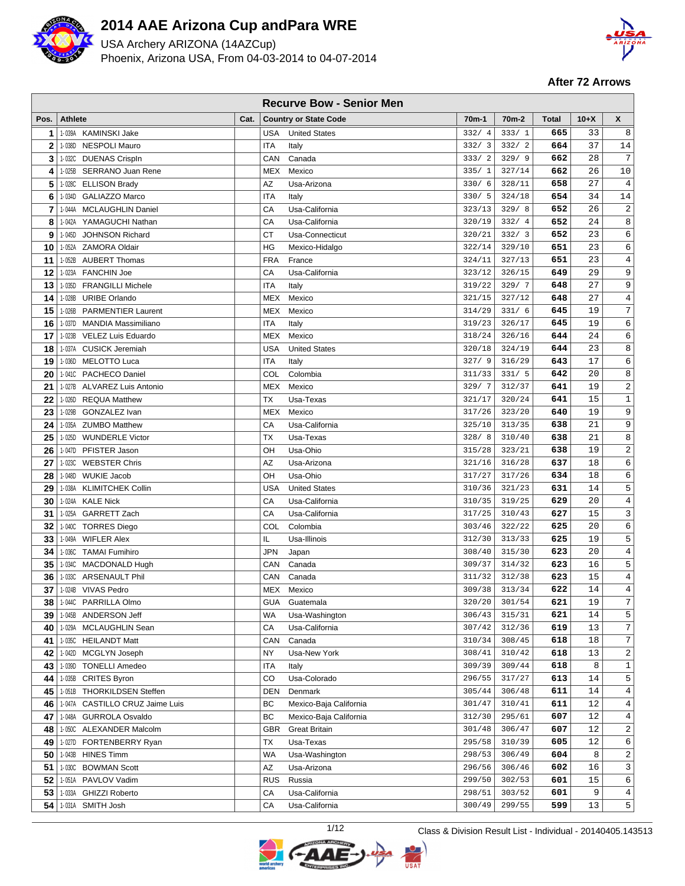

 $\Box$ 

# **2014 AAE Arizona Cup and Para WRE**

USA Archery ARIZONA (14AZCup) Phoenix, Arizona USA, From 04-03-2014 to 04-07-2014



**After 72 Arrows**

|              | <b>Recurve Bow - Senior Men</b> |                                              |      |            |                                        |                    |                    |              |                 |                  |  |  |
|--------------|---------------------------------|----------------------------------------------|------|------------|----------------------------------------|--------------------|--------------------|--------------|-----------------|------------------|--|--|
| Pos.         | <b>Athlete</b>                  |                                              | Cat. |            | <b>Country or State Code</b>           | 70 <sub>m</sub> -1 | 70 <sub>m</sub> -2 | <b>Total</b> | $10+X$          | X                |  |  |
| 1            |                                 | 1-039A KAMINSKI Jake                         |      | USA        | <b>United States</b>                   | 332/4              | 333/1              | 665          | 33              | 8                |  |  |
| $\mathbf{2}$ |                                 | 1-038D NESPOLI Mauro                         |      | ITA        | Italy                                  | 332/3              | 332/2              | 664          | 37              | 14               |  |  |
| 3            |                                 | 1-032C DUENAS CrispIn                        |      | CAN        | Canada                                 | 333/2              | 329/9              | 662          | 28              | 7                |  |  |
| 4            | 1-025B                          | SERRANO Juan Rene                            |      | MEX        | Mexico                                 | 335/1              | 327/14             | 662          | 26              | 10               |  |  |
| 5            | 1-028C                          | <b>ELLISON Brady</b>                         |      | AZ         | Usa-Arizona                            | 330/6              | 328/11             | 658          | 27              | $\,4$            |  |  |
| 6            |                                 | 1-034D GALIAZZO Marco                        |      | <b>ITA</b> | Italy                                  | 330/5              | 324/18             | 654          | 34              | 14               |  |  |
| 7            | 1-044A                          | <b>MCLAUGHLIN Daniel</b>                     |      | CA         | Usa-California                         | 323/13             | 329/8              | 652          | 26              | $\sqrt{2}$       |  |  |
| 8            | 1-042A                          | YAMAGUCHI Nathan                             |      | СA         | Usa-California                         | 320/19             | 332/4              | 652          | 24              | 8                |  |  |
| 9            | 1-045D                          | <b>JOHNSON Richard</b>                       |      | СT         | Usa-Connecticut                        | 320/21             | 332/3              | 652          | 23              | 6                |  |  |
| 10           |                                 | 1-052A ZAMORA Oldair                         |      | ΗG         | Mexico-Hidalgo                         | 322/14             | 329/10             | 651          | 23              | 6                |  |  |
| 11           |                                 | 1-052B AUBERT Thomas                         |      | <b>FRA</b> | France                                 | 324/11             | 327/13             | 651          | 23              | $\overline{4}$   |  |  |
| 12           |                                 | 1-023A FANCHIN Joe                           |      | CA         | Usa-California                         | 323/12             | 326/15             | 649          | 29              | 9                |  |  |
| 13           | 1-035D                          | <b>FRANGILLI Michele</b>                     |      | ITA        | Italy                                  | 319/22             | 329/7              | 648          | 27              | 9                |  |  |
| 14           | 1-028B                          | <b>URIBE Orlando</b>                         |      | <b>MEX</b> | Mexico                                 | 321/15             | 327/12             | 648          | 27              | $\overline{4}$   |  |  |
| 15           | 1-026B                          | <b>PARMENTIER Laurent</b>                    |      | MEX        | Mexico                                 | 314/29             | 331/6              | 645          | 19              | 7                |  |  |
| 16           | 1-037D                          | MANDIA Massimiliano                          |      | <b>ITA</b> | Italy                                  | 319/23             | 326/17             | 645          | 19              | 6                |  |  |
| 17           | 1-023B                          | VELEZ Luis Eduardo                           |      | MEX        | Mexico                                 | 318/24             | 326/16             | 644          | 24              | 6                |  |  |
| 18           |                                 | 1-037A CUSICK Jeremiah                       |      | USA        | <b>United States</b>                   | 320/18             | 324/19             | 644          | 23              | 8                |  |  |
| 19           |                                 | 1-036D MELOTTO Luca                          |      | ITA        | Italy                                  | 327/9              | 316/29             | 643          | 17              | $\epsilon$       |  |  |
| 20           |                                 | 1-041C PACHECO Daniel                        |      | COL        | Colombia                               | 311/33             | 331/5              | 642          | 20              | 8                |  |  |
| 21           |                                 | 1-027B ALVAREZ Luis Antonio                  |      | MEX        | Mexico                                 | 329/7              | 312/37             | 641          | 19              | $\boldsymbol{2}$ |  |  |
| 22           | 1-026D                          | REQUA Matthew                                |      | ТX         | Usa-Texas                              | 321/17             | 320/24             | 641          | 15              | $\mathbf 1$      |  |  |
| 23           | 1-029B                          | GONZALEZ Ivan                                |      | MEX        | Mexico                                 | 317/26             | 323/20             | 640          | 19              | 9                |  |  |
| 24           |                                 | 1-035A ZUMBO Matthew                         |      | CA         | Usa-California                         | 325/10             | 313/35             | 638          | 21              | 9                |  |  |
| 25           | 1-025D                          | <b>WUNDERLE Victor</b>                       |      | ТX         | Usa-Texas                              | 328/8              | 310/40             | 638          | 21              | 8                |  |  |
| 26           |                                 | 1-047D PFISTER Jason                         |      | OН         | Usa-Ohio                               | 315/28             | 323/21             | 638          | 19              | 2                |  |  |
| 27           |                                 | 1-023C WEBSTER Chris                         |      | AZ         | Usa-Arizona                            | 321/16             | 316/28             | 637          | 18<br>18        | б<br>$\epsilon$  |  |  |
| 28           |                                 | 1-048D WUKIE Jacob                           |      | OН         | Usa-Ohio                               | 317/27             | 317/26             | 634          | 14              | 5                |  |  |
| 29<br>30     |                                 | 1-038A KLIMITCHEK Collin<br>1-024A KALE Nick |      | USA<br>СA  | <b>United States</b><br>Usa-California | 310/36<br>310/35   | 321/23<br>319/25   | 631<br>629   | 20              | $\overline{4}$   |  |  |
| 31           |                                 | 1-025A GARRETT Zach                          |      | СA         | Usa-California                         | 317/25             | 310/43             | 627          | 15              | 3                |  |  |
| 32           |                                 | 1-040C TORRES Diego                          |      | COL        | Colombia                               | 303/46             | 322/22             | 625          | 20              | 6                |  |  |
| 33           |                                 | 1-049A WIFLER Alex                           |      | IL         | Usa-Illinois                           | 312/30             | 313/33             | 625          | 19              | 5                |  |  |
| 34           |                                 | 1-036C TAMAI Fumihiro                        |      | JPN        | Japan                                  | 308/40             | 315/30             | 623          | 20              | 4                |  |  |
| 35           |                                 | 1-034C MACDONALD Hugh                        |      | CAN        | Canada                                 | 309/37             | 314/32             | 623          | 16              | 5                |  |  |
| 36           |                                 | 1-033C ARSENAULT Phil                        |      | CAN        | Canada                                 | 311/32             | 312/38             | 623          | 15              | $\overline{4}$   |  |  |
| 37           |                                 | 1-024B VIVAS Pedro                           |      |            | MEX Mexico                             | 309/38             | 313/34             | 622          | 14              | $\bf{4}$         |  |  |
| 38           |                                 | 1-044C PARRILLA Olmo                         |      | <b>GUA</b> | Guatemala                              | 320/20             | 301/54             | 621          | $\overline{19}$ | 7                |  |  |
| 39           |                                 | 1-045B ANDERSON Jeff                         |      | WA         | Usa-Washington                         | 306/43             | 315/31             | 621          | 14              | 5                |  |  |
| 40           |                                 | 1-029A MCLAUGHLIN Sean                       |      | СA         | Usa-California                         | 307/42             | 312/36             | 619          | 13              | 7                |  |  |
| 41           | 1-035C                          | <b>HEILANDT Matt</b>                         |      | CAN        | Canada                                 | 310/34             | 308/45             | 618          | 18              | 7                |  |  |
| 42           | 1-042D                          | MCGLYN Joseph                                |      | ΝY         | Usa-New York                           | 308/41             | 310/42             | 618          | 13              | 2                |  |  |
| 43           |                                 | 1-039D TONELLI Amedeo                        |      | ITA        | Italy                                  | 309/39             | 309/44             | 618          | 8               | $\mathbf 1$      |  |  |
| 44           |                                 | 1-035B CRITES Byron                          |      | CO         | Usa-Colorado                           | 296/55             | 317/27             | 613          | 14              | 5                |  |  |
| 45           |                                 | 1-051B THORKILDSEN Steffen                   |      | DEN        | Denmark                                | 305/44             | 306/48             | 611          | 14              | $\overline{4}$   |  |  |
| 46           |                                 | 1-047A CASTILLO CRUZ Jaime Luis              |      | ВC         | Mexico-Baja California                 | 301/47             | 310/41             | 611          | 12              | $\overline{4}$   |  |  |
| 47           |                                 | 1-048A GURROLA Osvaldo                       |      | BС         | Mexico-Baja California                 | 312/30             | 295/61             | 607          | 12              | 4                |  |  |
| 48           |                                 | 1-050C ALEXANDER Malcolm                     |      | GBR.       | <b>Great Britain</b>                   | 301/48             | 306/47             | 607          | 12              | $\overline{c}$   |  |  |
| 49           |                                 | 1-027D FORTENBERRY Ryan                      |      | ТX         | Usa-Texas                              | 295/58             | 310/39             | 605          | 12              | 6                |  |  |
| 50           |                                 | 1-043B HINES Timm                            |      | WA         | Usa-Washington                         | 298/53             | 306/49             | 604          | 8               | 2                |  |  |
| 51           | 1-030C                          | <b>BOWMAN Scott</b>                          |      | AZ         | Usa-Arizona                            | 296/56             | 306/46             | 602          | 16              | 3                |  |  |
| 52           |                                 | 1-051A PAVLOV Vadim                          |      | RUS        | Russia                                 | 299/50             | 302/53             | 601          | 15              | б                |  |  |
| 53           |                                 | 1-033A GHIZZI Roberto                        |      | СA         | Usa-California                         | 298/51             | 303/52             | 601          | 9               | 4                |  |  |
| 54           |                                 | 1-031A SMITH Josh                            |      | СA         | Usa-California                         | 300/49             | 299/55             | 599          | 13              | $\overline{5}$   |  |  |

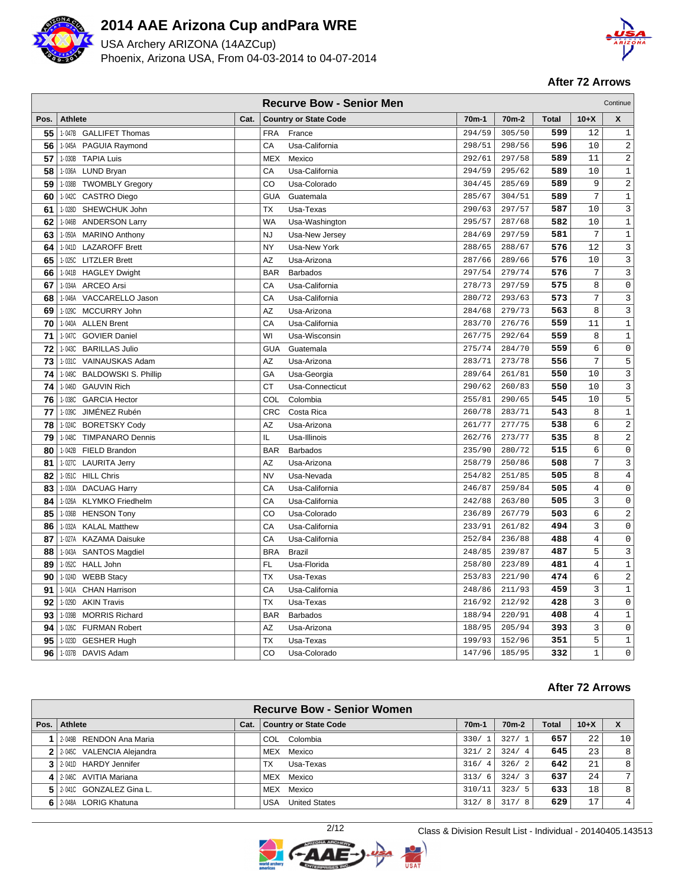

USA Archery ARIZONA (14AZCup) Phoenix, Arizona USA, From 04-03-2014 to 04-07-2014



### **After 72 Arrows**

|      | <b>Recurve Bow - Senior Men</b><br>Continue |      |                               |                    |                    |              |                |                     |  |  |  |  |
|------|---------------------------------------------|------|-------------------------------|--------------------|--------------------|--------------|----------------|---------------------|--|--|--|--|
| Pos. | <b>Athlete</b>                              | Cat. | <b>Country or State Code</b>  | 70 <sub>m</sub> -1 | 70 <sub>m</sub> -2 | <b>Total</b> | $10+X$         | X                   |  |  |  |  |
| 55   | 1-047B GALLIFET Thomas                      |      | <b>FRA</b><br>France          | 294/59             | 305/50             | 599          | 12             | $\mathbf{1}$        |  |  |  |  |
| 56   | 1-045A PAGUIA Raymond                       |      | CA<br>Usa-California          | 298/51             | 298/56             | 596          | 10             | $\overline{c}$      |  |  |  |  |
| 57   | 1-030B<br><b>TAPIA Luis</b>                 |      | <b>MEX</b><br>Mexico          | 292/61             | 297/58             | 589          | 11             | 2                   |  |  |  |  |
| 58   | 1-036A LUND Bryan                           |      | СA<br>Usa-California          | 294/59             | 295/62             | 589          | 10             | $\mathbf 1$         |  |  |  |  |
| 59   | 1-038B<br><b>TWOMBLY Gregory</b>            |      | CO<br>Usa-Colorado            | 304/45             | 285/69             | 589          | 9              | $\sqrt{2}$          |  |  |  |  |
| 60   | 1-042C<br><b>CASTRO Diego</b>               |      | <b>GUA</b><br>Guatemala       | 285/67             | 304/51             | 589          | 7              | $\mathbf{1}$        |  |  |  |  |
| 61   | 1-028D SHEWCHUK John                        |      | <b>TX</b><br>Usa-Texas        | 290/63             | 297/57             | 587          | 10             | $\mathbf{3}$        |  |  |  |  |
| 62   | 1-046B<br><b>ANDERSON Larry</b>             |      | WA<br>Usa-Washington          | 295/57             | 287/68             | 582          | 10             | $\mathbf 1$         |  |  |  |  |
| 63   | 1-050A MARINO Anthony                       |      | <b>NJ</b><br>Usa-New Jersey   | 284/69             | 297/59             | 581          | 7              | $\mathbf{1}$        |  |  |  |  |
| 64   | 1-041D LAZAROFF Brett                       |      | NY<br>Usa-New York            | 288/65             | 288/67             | 576          | 12             | 3                   |  |  |  |  |
| 65   | 1-025C LITZLER Brett                        |      | ΑZ<br>Usa-Arizona             | 287/66             | 289/66             | 576          | 10             | 3                   |  |  |  |  |
| 66   | 1-041B HAGLEY Dwight                        |      | <b>BAR</b><br><b>Barbados</b> | 297/54             | 279/74             | 576          | 7              | 3                   |  |  |  |  |
| 67   | 1-034A<br><b>ARCEO Arsi</b>                 |      | CA<br>Usa-California          | 278/73             | 297/59             | 575          | 8              | $\mathsf 0$         |  |  |  |  |
| 68   | 1-046A VACCARELLO Jason                     |      | CA<br>Usa-California          | 280/72             | 293/63             | 573          | 7              | $\mathbf{3}$        |  |  |  |  |
| 69   | MCCURRY John<br>1-029C                      |      | AZ<br>Usa-Arizona             | 284/68             | 279/73             | 563          | 8              | 3                   |  |  |  |  |
| 70   | 1-040A<br><b>ALLEN Brent</b>                |      | CA<br>Usa-California          | 283/70             | 276/76             | 559          | 11             | $\mathbf{1}$        |  |  |  |  |
| 71   | 1-047C GOVIER Daniel                        |      | WI<br>Usa-Wisconsin           | 267/75             | 292/64             | 559          | 8              | $\mathbf{1}$        |  |  |  |  |
| 72   | 1-043C BARILLAS Julio                       |      | <b>GUA</b><br>Guatemala       | 275/74             | 284/70             | 559          | 6              | $\mathsf 0$         |  |  |  |  |
| 73   | 1-031C<br>VAINAUSKAS Adam                   |      | AZ<br>Usa-Arizona             | 283/71             | 273/78             | 556          | 7              | 5                   |  |  |  |  |
| 74   | 1-049C BALDOWSKI S. Phillip                 |      | GA<br>Usa-Georgia             | 289/64             | 261/81             | 550          | 10             | 3                   |  |  |  |  |
| 74   | 1-046D<br><b>GAUVIN Rich</b>                |      | СT<br>Usa-Connecticut         | 290/62             | 260/83             | 550          | 10             | 3                   |  |  |  |  |
| 76   | 1-038C<br><b>GARCIA Hector</b>              |      | COL<br>Colombia               | 255/81             | 290/65             | 545          | 10             | 5                   |  |  |  |  |
| 77   | 1-039C<br>JIMÉNEZ Rubén                     |      | <b>CRC</b><br>Costa Rica      | 260/78             | 283/71             | 543          | 8              | $\mathbf{1}$        |  |  |  |  |
| 78   | 1-024C BORETSKY Cody                        |      | AZ<br>Usa-Arizona             | 261/77             | 277/75             | 538          | 6              | $\sqrt{2}$          |  |  |  |  |
| 79   | 1-048C<br><b>TIMPANARO Dennis</b>           |      | IL<br>Usa-Illinois            | 262/76             | 273/77             | 535          | 8              | $\overline{c}$      |  |  |  |  |
| 80   | 1-042B FIELD Brandon                        |      | <b>BAR</b><br><b>Barbados</b> | 235/90             | 280/72             | 515          | б              | $\mathsf 0$         |  |  |  |  |
| 81   | 1-027C LAURITA Jerry                        |      | AZ<br>Usa-Arizona             | 258/79             | 250/86             | 508          | 7              | 3                   |  |  |  |  |
| 82   | 1-051C HILL Chris                           |      | <b>NV</b><br>Usa-Nevada       | 254/82             | 251/85             | 505          | 8              | $\overline{4}$      |  |  |  |  |
| 83   | 1-030A DACUAG Harry                         |      | CA<br>Usa-California          | 246/87             | 259/84             | 505          | $\overline{4}$ | $\mathsf{O}\xspace$ |  |  |  |  |
| 84   | 1-026A KLYMKO Friedhelm                     |      | CA<br>Usa-California          | 242/88             | 263/80             | 505          | 3              | $\mathsf 0$         |  |  |  |  |
| 85   | 1-036B<br><b>HENSON Tony</b>                |      | CO<br>Usa-Colorado            | 236/89             | 267/79             | 503          | 6              | $\overline{c}$      |  |  |  |  |
| 86   | 1-032A KALAL Matthew                        |      | CA<br>Usa-California          | 233/91             | 261/82             | 494          | 3              | $\mathsf{O}\xspace$ |  |  |  |  |
| 87   | 1-027A KAZAMA Daisuke                       |      | CA<br>Usa-California          | 252/84             | 236/88             | 488          | $\overline{4}$ | $\mathsf 0$         |  |  |  |  |
| 88   | 1-043A SANTOS Magdiel                       |      | <b>BRA</b><br><b>Brazil</b>   | 248/85             | 239/87             | 487          | 5              | $\mathbf{3}$        |  |  |  |  |
| 89   | 1-052C HALL John                            |      | <b>FL</b><br>Usa-Florida      | 258/80             | 223/89             | 481          | $\overline{4}$ | $\mathbf{1}$        |  |  |  |  |
| 90   | 1-024D<br><b>WEBB Stacy</b>                 |      | ТX<br>Usa-Texas               | 253/83             | 221/90             | 474          | 6              | $\sqrt{2}$          |  |  |  |  |
| 91   | 1-041A<br><b>CHAN Harrison</b>              |      | CA<br>Usa-California          | 248/86             | 211/93             | 459          | 3              | $\mathbf{1}$        |  |  |  |  |
| 92   | 1-029D<br><b>AKIN Travis</b>                |      | <b>TX</b><br>Usa-Texas        | 216/92             | 212/92             | 428          | 3              | $\mathsf 0$         |  |  |  |  |
| 93   | 1-039B<br><b>MORRIS Richard</b>             |      | <b>BAR</b><br><b>Barbados</b> | 188/94             | 220/91             | 408          | $\overline{4}$ | $1\,$               |  |  |  |  |
| 94   | 1-026C FURMAN Robert                        |      | AZ<br>Usa-Arizona             | 188/95             | 205/94             | 393          | 3              | $\mathsf 0$         |  |  |  |  |
| 95   | 1-023D<br><b>GESHER Hugh</b>                |      | <b>TX</b><br>Usa-Texas        | 199/93             | 152/96             | 351          | 5              | $\mathbf{1}$        |  |  |  |  |
| 96   | 1-037B DAVIS Adam                           |      | CO<br>Usa-Colorado            | 147/96             | 185/95             | 332          | $\mathbf{1}$   | $\mathbf 0$         |  |  |  |  |

|      | <b>Recurve Bow - Senior Women</b> |      |                              |                        |         |       |        |                 |  |  |  |  |
|------|-----------------------------------|------|------------------------------|------------------------|---------|-------|--------|-----------------|--|--|--|--|
| Pos. | Athlete                           | Cat. | <b>Country or State Code</b> | 70 <sub>m</sub> -1     | $70m-2$ | Total | $10+X$ | X               |  |  |  |  |
|      | 2-049B RENDON Ana Maria           |      | Colombia<br>COL              | 330/1                  | 327/1   | 657   | 22     | 10 <sub>1</sub> |  |  |  |  |
|      | 2 2-0450 VALENCIA Alejandra       |      | MEX Mexico                   | 321/<br>$\overline{2}$ | 324/    | 645   | 23     | 8               |  |  |  |  |
|      | 3 2-0410 HARDY Jennifer           |      | Usa-Texas<br><b>TX</b>       | 316/<br>4              | 326/2   | 642   | 21     | 8               |  |  |  |  |
|      | 4 2-046C AVITIA Mariana           |      | Mexico<br>MEX                | 313/6                  | 324/3   | 637   | 24     | 7 <sup>1</sup>  |  |  |  |  |
|      | 2-0410 GONZALEZ Gina L.           |      | MEX Mexico                   | 310/11                 | 323/5   | 633   | 18     | 8               |  |  |  |  |
|      | 6 2-048A LORIG Khatuna            |      | <b>United States</b><br>USA  | 312/<br>- 8            | 317/8   | 629   | 17     | 4               |  |  |  |  |

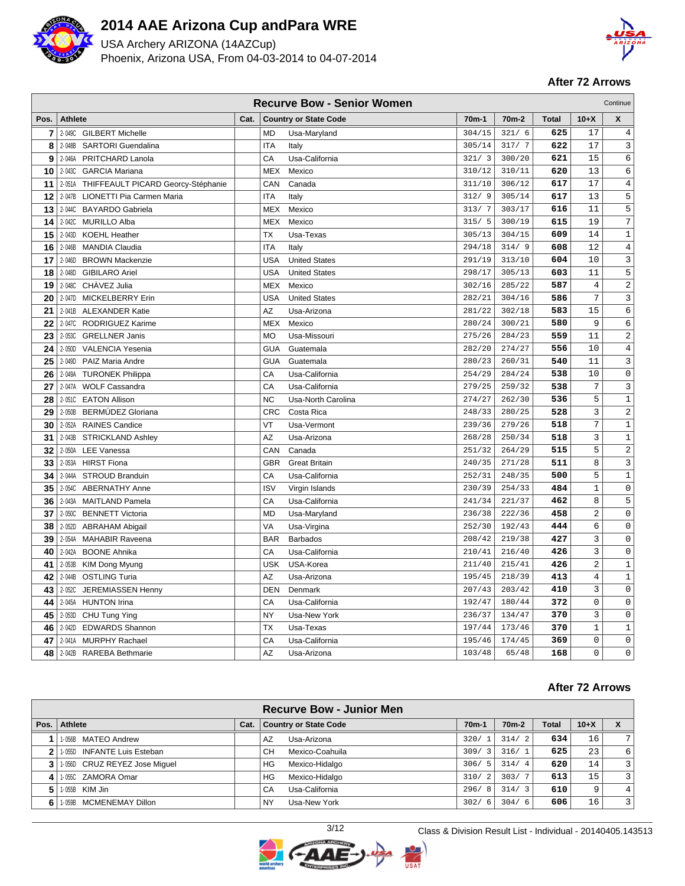

USA Archery ARIZONA (14AZCup) Phoenix, Arizona USA, From 04-03-2014 to 04-07-2014



### **After 72 Arrows**

| <b>Recurve Bow - Senior Women</b><br>Continue |                                           |      |            |                              |                    |                    |              |                |                     |  |  |
|-----------------------------------------------|-------------------------------------------|------|------------|------------------------------|--------------------|--------------------|--------------|----------------|---------------------|--|--|
| Pos.                                          | <b>Athlete</b>                            | Cat. |            | <b>Country or State Code</b> | 70 <sub>m</sub> -1 | 70 <sub>m</sub> -2 | <b>Total</b> | $10+X$         | X                   |  |  |
| 7                                             | 2-049C GILBERT Michelle                   |      | <b>MD</b>  | Usa-Maryland                 | 304/15             | 321/6              | 625          | 17             | 4                   |  |  |
| 8                                             | 2-048B<br><b>SARTORI Guendalina</b>       |      | <b>ITA</b> | Italy                        | 305/14             | 317/7              | 622          | 17             | 3                   |  |  |
| 9                                             | 2-046A<br>PRITCHARD Lanola                |      | CA         | Usa-California               | 321/3              | 300/20             | 621          | 15             | 6                   |  |  |
| 10                                            | 2-043C GARCIA Mariana                     |      | <b>MEX</b> | Mexico                       | 310/12             | 310/11             | 620          | 13             | 6                   |  |  |
| 11                                            | 2-051A THIFFEAULT PICARD Georcy-Stéphanie |      | CAN        | Canada                       | 311/10             | 306/12             | 617          | 17             | $\overline{4}$      |  |  |
| 12                                            | 2-047B<br>LIONETTI Pia Carmen Maria       |      | <b>ITA</b> | Italy                        | 312/9              | 305/14             | 617          | 13             | 5                   |  |  |
| 13                                            | 2-044C BAYARDO Gabriela                   |      | <b>MEX</b> | Mexico                       | 313/7              | 303/17             | 616          | 11             | 5                   |  |  |
| 14                                            | 2-042C MURILLO Alba                       |      | MEX        | Mexico                       | 315/5              | 300/19             | 615          | 19             | $\sqrt{ }$          |  |  |
| 15                                            | 2-043D<br><b>KOEHL Heather</b>            |      | TX         | Usa-Texas                    | 305/13             | 304/15             | 609          | 14             | $\mathbf{1}$        |  |  |
| 16                                            | 2-046B MANDIA Claudia                     |      | <b>ITA</b> | Italy                        | 294/18             | 314/9              | 608          | 12             | 4                   |  |  |
| 17                                            | 2-046D<br><b>BROWN Mackenzie</b>          |      | <b>USA</b> | <b>United States</b>         | 291/19             | 313/10             | 604          | 10             | 3                   |  |  |
| 18                                            | 2-048D<br><b>GIBILARO Ariel</b>           |      | <b>USA</b> | <b>United States</b>         | 298/17             | 305/13             | 603          | 11             | 5                   |  |  |
| 19                                            | 2-048C CHAVEZ Julia                       |      | MEX        | Mexico                       | 302/16             | 285/22             | 587          | $\,4$          | 2                   |  |  |
| 20                                            | 2-047D MICKELBERRY Erin                   |      | <b>USA</b> | <b>United States</b>         | 282/21             | 304/16             | 586          | 7              | 3                   |  |  |
| 21                                            | 2-041B ALEXANDER Katie                    |      | AZ         | Usa-Arizona                  | 281/22             | 302/18             | 583          | 15             | 6                   |  |  |
| 22                                            | 2-047C<br>RODRIGUEZ Karime                |      | <b>MEX</b> | Mexico                       | 280/24             | 300/21             | 580          | 9              | 6                   |  |  |
| 23                                            | 2-053C GRELLNER Janis                     |      | <b>MO</b>  | Usa-Missouri                 | 275/26             | 284/23             | 559          | 11             | 2                   |  |  |
| 24                                            | 2-050D<br><b>VALENCIA Yesenia</b>         |      | <b>GUA</b> | Guatemala                    | 282/20             | 274/27             | 556          | 10             | 4                   |  |  |
| 25                                            | PAIZ Maria Andre<br>2-049D                |      | <b>GUA</b> | Guatemala                    | 280/23             | 260/31             | 540          | 11             | 3                   |  |  |
| 26                                            | 2-049A TURONEK Philippa                   |      | CA         | Usa-California               | 254/29             | 284/24             | 538          | 10             | $\mathsf 0$         |  |  |
| 27                                            | 2-047A WOLF Cassandra                     |      | CA         | Usa-California               | 279/25             | 259/32             | 538          | 7              | 3                   |  |  |
| 28                                            | 2-051C<br><b>EATON Allison</b>            |      | <b>NC</b>  | Usa-North Carolina           | 274/27             | 262/30             | 536          | 5              | $1\,$               |  |  |
| 29                                            | 2-050B BERMÚDEZ Gloriana                  |      | <b>CRC</b> | Costa Rica                   | 248/33             | 280/25             | 528          | 3              | $\overline{2}$      |  |  |
| 30                                            | 2-052A RAINES Candice                     |      | VT         | Usa-Vermont                  | 239/36             | 279/26             | 518          | 7              | $\mathbf 1$         |  |  |
| 31                                            | 2-043B STRICKLAND Ashley                  |      | AZ         | Usa-Arizona                  | 268/28             | 250/34             | 518          | 3              | $1\,$               |  |  |
| 32                                            | 2-050A LEE Vanessa                        |      | CAN        | Canada                       | 251/32             | 264/29             | 515          | 5              | $\sqrt{2}$          |  |  |
| 33                                            | 2-053A HIRST Fiona                        |      | <b>GBR</b> | <b>Great Britain</b>         | 240/35             | 271/28             | 511          | 8              | 3                   |  |  |
| 34                                            | 2-044A STROUD Branduin                    |      | CA         | Usa-California               | 252/31             | 248/35             | 500          | 5              | $\mathbf{1}$        |  |  |
| 35                                            | 2-054C ABERNATHY Anne                     |      | <b>ISV</b> | Virgin Islands               | 230/39             | 254/33             | 484          | $\mathbf{1}$   | $\mathbb O$         |  |  |
| 36                                            | 2-043A<br><b>MAITLAND Pamela</b>          |      | CA         | Usa-California               | 241/34             | 221/37             | 462          | 8              | 5                   |  |  |
| 37                                            | 2-050C<br><b>BENNETT Victoria</b>         |      | <b>MD</b>  | Usa-Maryland                 | 236/38             | 222/36             | 458          | $\overline{2}$ | 0                   |  |  |
| 38                                            | 2-052D ABRAHAM Abigail                    |      | VA         | Usa-Virgina                  | 252/30             | 192/43             | 444          | 6              | $\mathsf{O}\xspace$ |  |  |
| 39                                            | 2-054A<br><b>MAHABIR Raveena</b>          |      | <b>BAR</b> | <b>Barbados</b>              | 208/42             | 219/38             | 427          | 3              | $\mathbf 0$         |  |  |
| 40                                            | 2-042A<br><b>BOONE Ahnika</b>             |      | CA         | Usa-California               | 210/41             | 216/40             | 426          | 3              | $\mathbf 0$         |  |  |
| 41                                            | 2-053B KIM Dong Myung                     |      | <b>USK</b> | USA-Korea                    | 211/40             | 215/41             | 426          | $\overline{2}$ | $\mathbf{1}$        |  |  |
| 42                                            | 2-044B OSTLING Turia                      |      | AZ         | Usa-Arizona                  | 195/45             | 218/39             | 413          | $\overline{4}$ | $1\,$               |  |  |
| 43                                            | 2-052C<br>JEREMIASSEN Henny               |      | <b>DEN</b> | Denmark                      | 207/43             | 203/42             | 410          | 3              | $\mathbf 0$         |  |  |
| 44                                            | 2-045A HUNTON Irina                       |      | CA         | Usa-California               | 192/47             | 180/44             | 372          | 0              | $\mathbf 0$         |  |  |
| 45                                            | 2-053D CHU Tung Ying                      |      | <b>NY</b>  | Usa-New York                 | 236/37             | 134/47             | 370          | 3              | $\mathsf 0$         |  |  |
| 46                                            | 2-042D EDWARDS Shannon                    |      | <b>TX</b>  | Usa-Texas                    | 197/44             | 173/46             | 370          | $\mathbf 1$    | $\mathbf{1}$        |  |  |
| 47                                            | 2-041A MURPHY Rachael                     |      | CA         | Usa-California               | 195/46             | 174/45             | 369          | $\mathsf 0$    | $\mathsf{O}\xspace$ |  |  |
| 48                                            | 2-042B RAREBA Bethmarie                   |      | ΑZ         | Usa-Arizona                  | 103/48             | 65/48              | 168          | $\mathbf 0$    | $\mathbf 0$         |  |  |

|                                   |      | <b>Recurve Bow - Junior Men</b> |                    |                    |              |        |                |
|-----------------------------------|------|---------------------------------|--------------------|--------------------|--------------|--------|----------------|
| Pos. Athlete                      | Cat. | <b>Country or State Code</b>    | 70 <sub>m</sub> -1 | 70 <sub>m</sub> -2 | <b>Total</b> | $10+X$ | X              |
| 1-056B MATEO Andrew               |      | AZ<br>Usa-Arizona               | 320/1              | 314/2              | 634          | 16     | 7 <sub>1</sub> |
| 11-0550 INFANTE Luis Esteban      |      | Mexico-Coahuila<br>CН           | 309/3              | 316/1              | 625          | 23     | 6              |
| 3   1-056D CRUZ REYEZ Jose Miquel |      | ΗG<br>Mexico-Hidalgo            | 306/<br>5          | 314/4              | 620          | 14     | $\overline{3}$ |
| 4   1-055C ZAMORA Omar            |      | Mexico-Hidalgo<br>HG            | 310/2              | 303/7              | 613          | 15     | 3              |
| $511.055B$ KIM Jin                |      | Usa-California<br>CA            | 296/<br>- 8        | 314/3              | 610          | 9      |                |
| 6 1 1-059B MCMENEMAY Dillon       |      | Usa-New York<br><b>NY</b>       | 302/<br>- 6        | 304/6              | 606          | 16     | 3              |

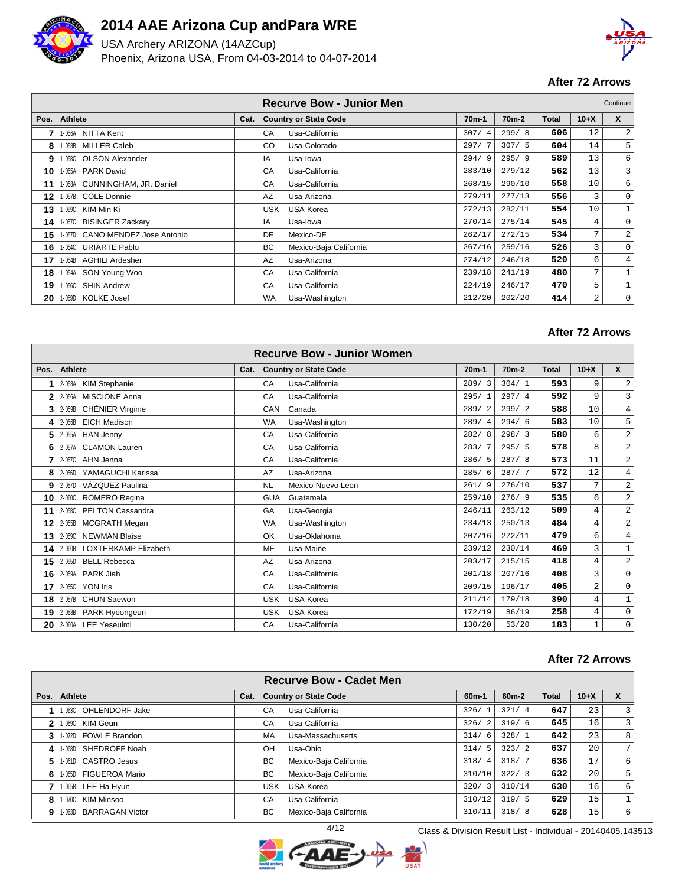

USA Archery ARIZONA (14AZCup) Phoenix, Arizona USA, From 04-03-2014 to 04-07-2014



## **After 72 Arrows**

|      |                                    |      |            | <b>Recurve Bow - Junior Men</b> |         |                    |       |                 | Continue       |
|------|------------------------------------|------|------------|---------------------------------|---------|--------------------|-------|-----------------|----------------|
| Pos. | Athlete                            | Cat. |            | <b>Country or State Code</b>    | $70m-1$ | 70 <sub>m</sub> -2 | Total | $10+X$          | $\mathbf{x}$   |
| 7    | 1-056A NITTA Kent                  |      | CA         | Usa-California                  | 307/4   | 299/8              | 606   | 12              | 2              |
| 8    | <b>MILLER Caleb</b><br>$-058B$     |      | CO.        | Usa-Colorado                    | 297/7   | 307/5              | 604   | 14              | 5              |
| 9    | -058C OLSON Alexander              |      | IA         | Usa-lowa                        | 294/9   | 295/9              | 589   | 13              | 6              |
| 10   | -055A PARK David                   |      | CA         | Usa-California                  | 283/10  | 279/12             | 562   | 13              | 3              |
| 11   | -058A CUNNINGHAM, JR. Daniel       |      | CA         | Usa-California                  | 268/15  | 290/10             | 558   | 10              | 6              |
| 12   | I-057B COLE Donnie                 |      | AZ         | Usa-Arizona                     | 279/11  | 277/13             | 556   | 3               | $\mathbf 0$    |
| 13   | 1-059C KIM Min Ki                  |      | <b>USK</b> | USA-Korea                       | 272/13  | 282/11             | 554   | 10              | 1              |
| 14   | 1-057C BISINGER Zackary            |      | IA         | Usa-lowa                        | 270/14  | 275/14             | 545   | 4               | $\mathbf 0$    |
| 15   | CANO MENDEZ Jose Antonio<br>1-057D |      | DF         | Mexico-DF                       | 262/17  | 272/15             | 534   | 7               | $\overline{a}$ |
| 16   | I-054C URIARTE Pablo               |      | <b>BC</b>  | Mexico-Baja California          | 267/16  | 259/16             | 526   | 3               | 0              |
| 17   | 1-054B AGHILI Ardesher             |      | AZ         | Usa-Arizona                     | 274/12  | 246/18             | 520   | 6               | 4              |
| 18   | SON Young Woo<br>l-054A            |      | CA         | Usa-California                  | 239/18  | 241/19             | 480   | $7\overline{ }$ |                |
| 19   | <b>SHIN Andrew</b><br>I-056C       |      | CA         | Usa-California                  | 224/19  | 246/17             | 470   | 5               | 1              |
| 20   | 1-059D KOLKE Josef                 |      | WA         | Usa-Washington                  | 212/20  | 202/20             | 414   | 2               | $\mathbf{0}$   |

### **After 72 Arrows**

|              | <b>Recurve Bow - Junior Women</b> |      |                                |         |                    |              |                |                |  |  |  |  |
|--------------|-----------------------------------|------|--------------------------------|---------|--------------------|--------------|----------------|----------------|--|--|--|--|
| Pos.         | <b>Athlete</b>                    | Cat. | <b>Country or State Code</b>   | $70m-1$ | 70 <sub>m</sub> -2 | <b>Total</b> | $10+X$         | $\mathsf{x}$   |  |  |  |  |
|              | 2-058A KIM Stephanie              |      | Usa-California<br>CA           | 289/3   | 304/1              | 593          | 9              | $\overline{a}$ |  |  |  |  |
| $\mathbf{2}$ | <b>MISCIONE Anna</b><br>2-056A    |      | Usa-California<br>CA           | 295/1   | 297/4              | 592          | 9              | 3 <sup>1</sup> |  |  |  |  |
| 3            | CHÉNIER Virginie<br>2-059B        |      | Canada<br>CAN                  | 289/2   | 299/2              | 588          | 10             | 4              |  |  |  |  |
| 4            | <b>EICH Madison</b><br>2-056B     |      | Usa-Washington<br><b>WA</b>    | 289/4   | 294/6              | 583          | 10             | 5              |  |  |  |  |
| 5            | 2-055A HAN Jenny                  |      | Usa-California<br>CA           | 282/8   | 298/3              | 580          | 6              | $\vert$ 2      |  |  |  |  |
| 6            | 2-057A CLAMON Lauren              |      | CA<br>Usa-California           | 283/7   | 295/5              | 578          | 8              | $\overline{a}$ |  |  |  |  |
| 7            | 2-057C AHN Jenna                  |      | CA<br>Usa-California           | 286/5   | 287/8              | 573          | 11             | 2              |  |  |  |  |
| 8            | 2-056D<br>YAMAGUCHI Karissa       |      | Usa-Arizona<br>AZ              | 285/6   | 287/7              | 572          | 12             | 4 <sup>1</sup> |  |  |  |  |
| 9            | VÁZQUEZ Paulina<br>2-057D         |      | <b>NL</b><br>Mexico-Nuevo Leon | 261/9   | 276/10             | 537          | 7              | $\overline{a}$ |  |  |  |  |
| 10           | 2-060C ROMERO Regina              |      | Guatemala<br><b>GUA</b>        | 259/10  | 276/9              | 535          | 6              | $\sqrt{2}$     |  |  |  |  |
| 11           | 2-058C PELTON Cassandra           |      | GA<br>Usa-Georgia              | 246/11  | 263/12             | 509          | $\overline{4}$ | 2              |  |  |  |  |
| 12           | 2-055B<br><b>MCGRATH Megan</b>    |      | <b>WA</b><br>Usa-Washington    | 234/13  | 250/13             | 484          | $\overline{4}$ | $\overline{2}$ |  |  |  |  |
| 13           | 2-059C NEWMAN Blaise              |      | Usa-Oklahoma<br>OK             | 207/16  | 272/11             | 479          | 6              | 4              |  |  |  |  |
| 14           | 2-060B LOXTERKAMP Elizabeth       |      | Usa-Maine<br><b>ME</b>         | 239/12  | 230/14             | 469          | 3              |                |  |  |  |  |
| 15           | <b>BELL Rebecca</b><br>$2 - 055D$ |      | AZ<br>Usa-Arizona              | 203/17  | 215/15             | 418          | $\overline{4}$ | $\overline{a}$ |  |  |  |  |
| 16           | 2-059A PARK Jiah                  |      | Usa-California<br>CA           | 201/18  | 207/16             | 408          | $\overline{3}$ | $\overline{0}$ |  |  |  |  |
| 17           | 2-055C YON Iris                   |      | Usa-California<br>CA           | 209/15  | 196/17             | 405          | 2              | $\mathbf 0$    |  |  |  |  |
| 18           | 2-057B CHUN Saewon                |      | <b>USK</b><br>USA-Korea        | 211/14  | 179/18             | 390          | 4              | 1              |  |  |  |  |
| 19           | 2-058B PARK Hyeongeun             |      | USA-Korea<br><b>USK</b>        | 172/19  | 86/19              | 258          | $\overline{4}$ | $\mathbf{0}$   |  |  |  |  |
| 20           | 2-060A LEE Yeseulmi               |      | Usa-California<br>CA           | 130/20  | 53/20              | 183          | $\mathbf{1}$   | $\mathbf 0$    |  |  |  |  |

#### **After 72 Arrows**

|      |                        |      | <b>Recurve Bow - Cadet Men</b>      |                        |                    |              |        |                |
|------|------------------------|------|-------------------------------------|------------------------|--------------------|--------------|--------|----------------|
| Pos. | Athlete                | Cat. | <b>Country or State Code</b>        | $60m-1$                | 60 <sub>m</sub> -2 | <b>Total</b> | $10+X$ | X              |
|      | 1-063C OHLENDORF Jake  |      | Usa-California<br>CA                | 326/                   | 321/4              | 647          | 23     | 3              |
| 2    | 1-069C KIM Geun        |      | Usa-California<br>CA                | 326/<br>2              | 319/6              | 645          | 16     | 3              |
| 3    | 1-072D FOWLE Brandon   |      | Usa-Massachusetts<br><b>MA</b>      | 314/<br>6              | 328/1              | 642          | 23     | 8              |
| 4    | 1-068D SHEDROFF Noah   |      | OH<br>Usa-Ohio                      | 314/<br>- 5            | 323/2              | 637          | 20     | 7 <sub>1</sub> |
| 5    | 1-061D CASTRO Jesus    |      | <b>BC</b><br>Mexico-Baja California | 318/<br>$\overline{4}$ | 318/7              | 636          | 17     | 6              |
| 6    | 1-065D FIGUEROA Mario  |      | Mexico-Baja California<br><b>BC</b> | 310/10                 | 322/3              | 632          | 20     | 5              |
|      | 1-065B LEE Ha Hyun     |      | USA-Korea<br>USK                    | 320/<br>3              | 310/14             | 630          | 16     | 6              |
| 8    | 1-070C KIM Minsoo      |      | Usa-California<br>CA                | 310/12                 | 319/5              | 629          | 15     |                |
| 9    | 1-063D BARRAGAN Victor |      | BC.<br>Mexico-Baja California       | 310/11                 | 318/8              | 628          | 15     | 6              |

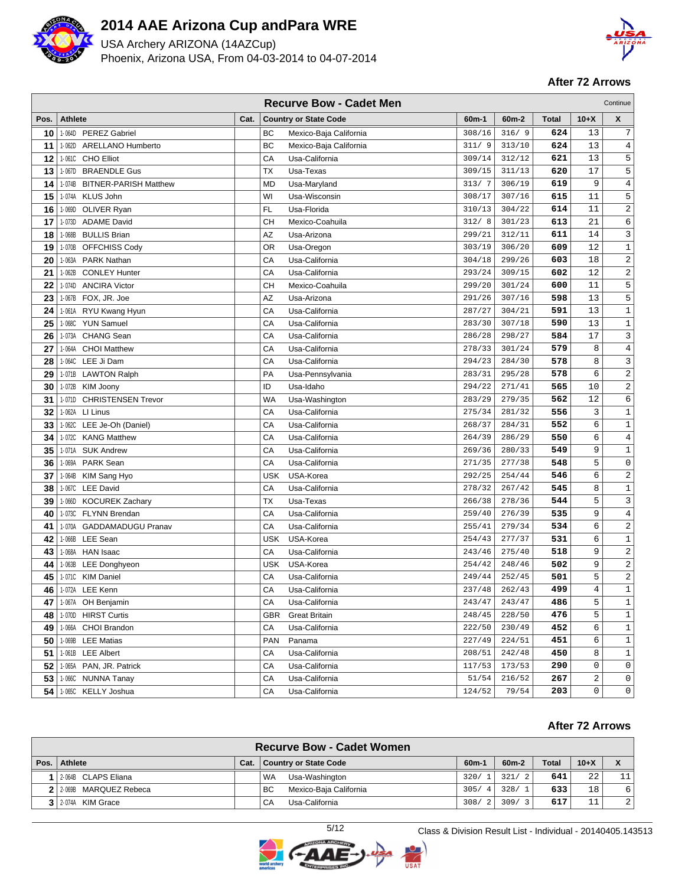

USA Archery ARIZONA (14AZCup) Phoenix, Arizona USA, From 04-03-2014 to 04-07-2014



### **After 72 Arrows**

|      |                                        |            | <b>Recurve Bow - Cadet Men</b> |        |         |              |        | Continue         |
|------|----------------------------------------|------------|--------------------------------|--------|---------|--------------|--------|------------------|
| Pos. | <b>Athlete</b><br>Cat.                 |            | <b>Country or State Code</b>   | 60m-1  | $60m-2$ | <b>Total</b> | $10+X$ | X                |
| 10   | 1-064D PEREZ Gabriel                   | BC         | Mexico-Baja California         | 308/16 | 316/9   | 624          | 13     | 7                |
| 11   | <b>ARELLANO Humberto</b><br>1-062D     | BC         | Mexico-Baja California         | 311/9  | 313/10  | 624          | 13     | $\overline{4}$   |
| 12   | 1-061C CHO Elliot                      | CA         | Usa-California                 | 309/14 | 312/12  | 621          | 13     | 5                |
| 13   | 1-067D BRAENDLE Gus                    | <b>TX</b>  | Usa-Texas                      | 309/15 | 311/13  | 620          | 17     | 5                |
| 14   | 1-074B<br><b>BITNER-PARISH Matthew</b> | <b>MD</b>  | Usa-Maryland                   | 313/7  | 306/19  | 619          | 9      | $\sqrt{4}$       |
| 15   | 1-074A KLUS John                       | WI         | Usa-Wisconsin                  | 308/17 | 307/16  | 615          | 11     | 5                |
| 16   | 1-069D OLIVER Ryan                     | FL         | Usa-Florida                    | 310/13 | 304/22  | 614          | 11     | $\sqrt{2}$       |
| 17   | <b>ADAME David</b><br>1-073D           | <b>CH</b>  | Mexico-Coahuila                | 312/8  | 301/23  | 613          | 21     | 6                |
| 18   | 1-068B<br><b>BULLIS Brian</b>          | AZ         | Usa-Arizona                    | 299/21 | 312/11  | 611          | 14     | 3                |
| 19   | <b>OFFCHISS Cody</b><br>1-070B         | <b>OR</b>  | Usa-Oregon                     | 303/19 | 306/20  | 609          | 12     | $\mathbf 1$      |
| 20   | <b>PARK Nathan</b><br>1-063A           | CA         | Usa-California                 | 304/18 | 299/26  | 603          | 18     | $\sqrt{2}$       |
| 21   | <b>CONLEY Hunter</b><br>1-062B         | CA         | Usa-California                 | 293/24 | 309/15  | 602          | 12     | $\sqrt{2}$       |
| 22   | <b>ANCIRA Victor</b><br>1-074D         | <b>CH</b>  | Mexico-Coahuila                | 299/20 | 301/24  | 600          | 11     | 5                |
| 23   | 1-067B FOX, JR. Joe                    | AZ         | Usa-Arizona                    | 291/26 | 307/16  | 598          | 13     | 5                |
| 24   | 1-061A RYU Kwang Hyun                  | CA         | Usa-California                 | 287/27 | 304/21  | 591          | 13     | $1\,$            |
| 25   | <b>YUN Samuel</b><br>1-068C            | CA         | Usa-California                 | 283/30 | 307/18  | 590          | 13     | $\,1$            |
| 26   | 1-073A<br><b>CHANG Sean</b>            | CA         | Usa-California                 | 286/28 | 298/27  | 584          | 17     | 3                |
| 27   | 1-064A<br><b>CHOI Matthew</b>          | CA         | Usa-California                 | 278/33 | 301/24  | 579          | 8      | $\,4$            |
| 28   | LEE Ji Dam<br>1-064C                   | CA         | Usa-California                 | 294/23 | 284/30  | 578          | 8      | 3                |
| 29   | 1-071B LAWTON Ralph                    | PA         | Usa-Pennsylvania               | 283/31 | 295/28  | 578          | 6      | $\sqrt{2}$       |
| 30   | 1-072B<br>KIM Joony                    | ID         | Usa-Idaho                      | 294/22 | 271/41  | 565          | 10     | $\sqrt{2}$       |
| 31   | <b>CHRISTENSEN Trevor</b><br>1-071D    | WA         | Usa-Washington                 | 283/29 | 279/35  | 562          | 12     | $\epsilon$       |
| 32   | 1-062A LI Linus                        | CA         | Usa-California                 | 275/34 | 281/32  | 556          | 3      | $\mathbf 1$      |
| 33   | 1-062C LEE Je-Oh (Daniel)              | CA         | Usa-California                 | 268/37 | 284/31  | 552          | 6      | $\mathbf 1$      |
| 34   | 1-072C KANG Matthew                    | СA         | Usa-California                 | 264/39 | 286/29  | 550          | 6      | 4                |
| 35   | 1-071A SUK Andrew                      | CA         | Usa-California                 | 269/36 | 280/33  | 549          | 9      | $1\,$            |
| 36   | 1-069A PARK Sean                       | CA         | Usa-California                 | 271/35 | 277/38  | 548          | 5      | $\mathbb O$      |
| 37   | 1-064B<br>KIM Sang Hyo                 | <b>USK</b> | USA-Korea                      | 292/25 | 254/44  | 546          | 6      | $\boldsymbol{2}$ |
| 38   | 1-067C LEE David                       | CA         | Usa-California                 | 278/32 | 267/42  | 545          | 8      | $\,1\,$          |
| 39   | 1-066D<br><b>KOCUREK Zachary</b>       | TX         | Usa-Texas                      | 266/38 | 278/36  | 544          | 5      | $\mathbf{3}$     |
| 40   | 1-073C FLYNN Brendan                   | CA         | Usa-California                 | 259/40 | 276/39  | 535          | 9      | 4                |
| 41   | 1-070A GADDAMADUGU Pranav              | CA         | Usa-California                 | 255/41 | 279/34  | 534          | 6      | $\sqrt{2}$       |
| 42   | 1-066B LEE Sean                        | <b>USK</b> | USA-Korea                      | 254/43 | 277/37  | 531          | 6      | $\mathbf 1$      |
| 43   | 1-068A HAN Isaac                       | СA         | Usa-California                 | 243/46 | 275/40  | 518          | 9      | $\sqrt{2}$       |
| 44   | 1-063B LEE Donghyeon                   | <b>USK</b> | USA-Korea                      | 254/42 | 248/46  | 502          | 9      | $\sqrt{2}$       |
| 45   | 1-071C KIM Daniel                      | CA         | Usa-California                 | 249/44 | 252/45  | 501          | 5      | $\sqrt{2}$       |
| 46   | 1-072A LEE Kenn                        | CA         | Usa-California                 | 237/48 | 262/43  | 499          | 4      | $\,1$            |
| 47   | 1-067A OH Benjamin                     | СA         | Usa-California                 | 243/47 | 243/47  | 486          | 5      | $\mathbf{1}$     |
| 48   | 1-070D HIRST Curtis                    | GBR.       | <b>Great Britain</b>           | 248/45 | 228/50  | 476          | 5      | $\mathbf{1}$     |
| 49   | 1-066A CHOI Brandon                    | СA         | Usa-California                 | 222/50 | 230/49  | 452          | 6      | 1                |
| 50   | 1-069B LEE Matias                      | <b>PAN</b> | Panama                         | 227/49 | 224/51  | 451          | 6      | 1                |
| 51   | 1-061B LEE Albert                      | СA         | Usa-California                 | 208/51 | 242/48  | 450          | 8      | $1\,$            |
| 52   | 1-065A PAN, JR. Patrick                | СA         | Usa-California                 | 117/53 | 173/53  | 290          | 0      | $\mathbf 0$      |
| 53   | 1-066C NUNNA Tanay                     | СA         | Usa-California                 | 51/54  | 216/52  | 267          | 2      | 0                |
| 54   | 1-065C KELLY Joshua                    | CA         | Usa-California                 | 124/52 | 79/54   | 203          | 0      | 0                |

| <b>Recurve Bow - Cadet Women</b> |      |                                     |           |                        |              |        |                 |  |  |  |  |
|----------------------------------|------|-------------------------------------|-----------|------------------------|--------------|--------|-----------------|--|--|--|--|
| Pos.   Athlete                   | Cat. | <b>Country or State Code</b>        | $60m-1$   | 60 <sub>m</sub> -2     | <b>Total</b> | $10+X$ |                 |  |  |  |  |
| 1 2-064B CLAPS Eliana            |      | Usa-Washington<br><b>WA</b>         | 320/1     | 321/<br>$\overline{2}$ | 641          | 2.2    | 11 <sup>1</sup> |  |  |  |  |
| 2 2 2 069B MARQUEZ Rebeca        |      | Mexico-Baja California<br><b>BC</b> | 305/<br>4 | 328/<br>$\overline{1}$ | 633          | 18     | 6               |  |  |  |  |
| 3 2-074A KIM Grace               |      | Usa-California<br>CA                | 308/2     | 309/<br>$\mathbf{z}$   | 617          | 11     | 2               |  |  |  |  |

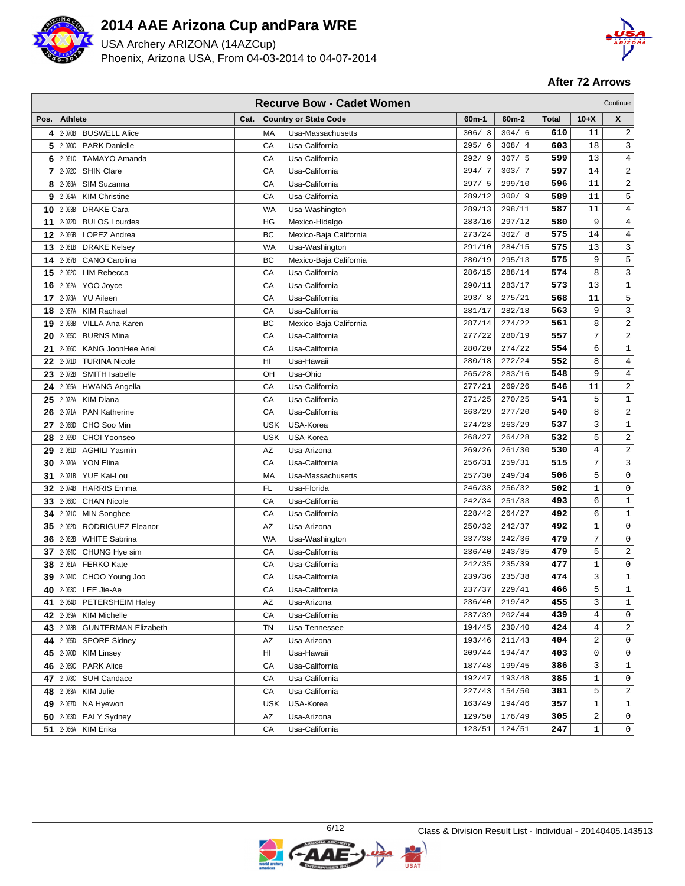

USA Archery ARIZONA (14AZCup) Phoenix, Arizona USA, From 04-03-2014 to 04-07-2014



|      |                |                               |      |           | <b>Recurve Bow - Cadet Women</b> |         |                        |              |                | Continue            |
|------|----------------|-------------------------------|------|-----------|----------------------------------|---------|------------------------|--------------|----------------|---------------------|
| Pos. | <b>Athlete</b> |                               | Cat. |           | <b>Country or State Code</b>     | $60m-1$ | $60m-2$                | <b>Total</b> | $10+X$         | $\pmb{\mathsf{X}}$  |
| 4    |                | 2-070B BUSWELL Alice          |      | МA        | Usa-Massachusetts                | 306/3   | 304/6                  | 610          | 11             | 2                   |
| 5    | 2-070C         | <b>PARK Danielle</b>          |      | СA        | Usa-California                   | 295/6   | 308/<br>$\overline{4}$ | 603          | 18             | 3                   |
| 6    | 2-061C         | <b>TAMAYO Amanda</b>          |      | СA        | Usa-California                   | 292/9   | 307/5                  | 599          | 13             | 4                   |
| 7    | 2-072C         | <b>SHIN Clare</b>             |      | CА        | Usa-California                   | 294/7   | 303/7                  | 597          | 14             | 2                   |
| 8    | 2-068A         | SIM Suzanna                   |      | СA        | Usa-California                   | 297/5   | 299/10                 | 596          | 11             | $\sqrt{2}$          |
| 9    | 2-064A         | <b>KIM Christine</b>          |      | CA        | Usa-California                   | 289/12  | 300/9                  | 589          | 11             | 5                   |
| 10   |                | 2-063B DRAKE Cara             |      | WA        | Usa-Washington                   | 289/13  | 298/11                 | 587          | 11             | $\,4$               |
| 11   | 2-072D         | <b>BULOS Lourdes</b>          |      | ΗG        | Mexico-Hidalgo                   | 283/16  | 297/12                 | 580          | 9              | 4                   |
| 12   | 2-066B         | LOPEZ Andrea                  |      | ВC        | Mexico-Baja California           | 273/24  | 302/8                  | 575          | 14             | 4                   |
| 13   | 2-061B         | <b>DRAKE Kelsey</b>           |      | <b>WA</b> | Usa-Washington                   | 291/10  | 284/15                 | 575          | 13             | 3                   |
| 14   | 2-067B         | <b>CANO Carolina</b>          |      | ВC        | Mexico-Baja California           | 280/19  | 295/13                 | 575          | 9              | 5                   |
| 15   | 2-062C         | <b>LIM Rebecca</b>            |      | СA        | Usa-California                   | 286/15  | 288/14                 | 574          | 8              | 3                   |
| 16   | 2-062A         | YOO Joyce                     |      | CА        | Usa-California                   | 290/11  | 283/17                 | 573          | 13             | 1                   |
| 17   |                | 2-073A YU Aileen              |      | CA        | Usa-California                   | 293/8   | 275/21                 | 568          | 11             | 5                   |
| 18   | 2-067A         | <b>KIM Rachael</b>            |      | CA        | Usa-California                   | 281/17  | 282/18                 | 563          | 9              | $\mathbf{3}$        |
| 19   | 2-068B         | <b>VILLA Ana-Karen</b>        |      | BС        | Mexico-Baja California           | 287/14  | 274/22                 | 561          | 8              | $\sqrt{2}$          |
| 20   | 2-065C         | <b>BURNS Mina</b>             |      | СA        | Usa-California                   | 277/22  | 280/19                 | 557          | 7              | $\boldsymbol{2}$    |
| 21   | $2 - 066C$     | <b>KANG JoonHee Ariel</b>     |      | CA        | Usa-California                   | 280/20  | 274/22                 | 554          | 6              | $\mathbf{1}$        |
| 22   | 2-071D         | <b>TURINA Nicole</b>          |      | HI        | Usa-Hawaii                       | 280/18  | 272/24                 | 552          | 8              | $\,4$               |
| 23   | 2-072B         | SMITH Isabelle                |      | ΟН        | Usa-Ohio                         | 265/28  | 283/16                 | 548          | 9              | 4                   |
| 24   | 2-065A         | <b>HWANG Angella</b>          |      | СA        | Usa-California                   | 277/21  | 269/26                 | 546          | 11             | $\boldsymbol{2}$    |
| 25   | 2-072A         | <b>KIM Diana</b>              |      | CА        | Usa-California                   | 271/25  | 270/25                 | 541          | 5              | $\mathbf{1}$        |
| 26   |                | 2-071A PAN Katherine          |      | CA        | Usa-California                   | 263/29  | 277/20                 | 540          | 8              | $\sqrt{2}$          |
| 27   | 2-068D         | CHO Soo Min                   |      | USK       | USA-Korea                        | 274/23  | 263/29                 | 537          | 3              | $\mathbf 1$         |
| 28   | 2-069D         | CHOI Yoonseo                  |      | USK       | USA-Korea                        | 268/27  | 264/28                 | 532          | 5              | $\sqrt{2}$          |
| 29   | 2-061D         | <b>AGHILI Yasmin</b>          |      | ΑZ        | Usa-Arizona                      | 269/26  | 261/30                 | 530          | 4              | $\boldsymbol{2}$    |
| 30   | 2-070A         | <b>YON Elina</b>              |      | CA        | Usa-California                   | 256/31  | 259/31                 | 515          | 7              | 3                   |
| 31   | 2-071B         | YUE Kai-Lou                   |      | MA        | Usa-Massachusetts                | 257/30  | 249/34                 | 506          | 5              | $\mathbf 0$         |
| 32   | 2-074B         | <b>HARRIS Emma</b>            |      | FL        | Usa-Florida                      | 246/33  | 256/32                 | 502          | $\mathbf{1}$   | $\mathbf 0$         |
| 33   | $2 - 068C$     | <b>CHAN Nicole</b>            |      | СA        | Usa-California                   | 242/34  | 251/33                 | 493          | 6              | $\mathbf 1$         |
| 34   |                | 2-071C MIN Songhee            |      | СA        | Usa-California                   | 228/42  | 264/27                 | 492          | 6              | $\mathbf{1}$        |
| 35   | 2-062D         | RODRIGUEZ Eleanor             |      | AZ        | Usa-Arizona                      | 250/32  | 242/37                 | 492          | $\mathbf{1}$   | $\mathbf 0$         |
| 36   | 2-062B         | <b>WHITE Sabrina</b>          |      | WA        | Usa-Washington                   | 237/38  | 242/36                 | 479          | 7              | $\mathbf 0$         |
| 37   |                | 2-064C CHUNG Hye sim          |      | СA        | Usa-California                   | 236/40  | 243/35                 | 479          | 5              | $\overline{c}$      |
| 38   |                | 2-061A FERKO Kate             |      | СA        | Usa-California                   | 242/35  | 235/39                 | 477          | $\mathbf{1}$   | $\mathbf 0$         |
| 39   |                | 2-074C CHOO Young Joo         |      | CА        | Usa-California                   | 239/36  | 235/38                 | 474          | 3              | $\mathbf 1$         |
| 40   |                | 2-063C LEE Jie-Ae             |      | CA        | Usa-California                   | 237/37  | 229/41                 | 466          | 5              | $\mathbf{1}$        |
|      |                | 41   2-064D PETERSHEIM Haley  |      | AΖ        | Usa-Arizona                      | 236/40  | 219/42                 | 455          | 3              | $\mathbf{1}$        |
| 42   |                | 2-069A KIM Michelle           |      | CА        | Usa-California                   | 237/39  | 202/44                 | 439          | 4              | $\mathsf{O}$        |
|      |                | 43 2-073B GUNTERMAN Elizabeth |      | ΤN        | Usa-Tennessee                    | 194/45  | 230/40                 | 424          | $\overline{4}$ | 2                   |
| 44   |                | 2-065D SPORE Sidney           |      | ΑZ        | Usa-Arizona                      | 193/46  | 211/43                 | 404          | 2              | $\mathbf 0$         |
|      |                | 45 2-0700 KIM Linsey          |      | HI        | Usa-Hawaii                       | 209/44  | 194/47                 | 403          | 0              | $\mathsf 0$         |
|      |                | 46 2-069C PARK Alice          |      | СA        | Usa-California                   | 187/48  | 199/45                 | 386          | 3              | $\mathbf 1$         |
|      |                | 47   2-073C SUH Candace       |      | СA        | Usa-California                   | 192/47  | 193/48                 | 385          | 1              | 0                   |
|      |                | 48 2-063A KIM Julie           |      | СA        | Usa-California                   | 227/43  | 154/50                 | 381          | 5              | 2                   |
|      |                | 49   2-0670 NA Hyewon         |      | USK       | USA-Korea                        | 163/49  | 194/46                 | 357          | 1              | $\mathbf{1}$        |
|      |                | $50$   2-063D EALY Sydney     |      | AZ        | Usa-Arizona                      | 129/50  | 176/49                 | 305          | 2              | $\mathsf{O}$        |
|      |                | 51 2-066A KIM Erika           |      | СA        | Usa-California                   | 123/51  | 124/51                 | 247          | 1              | $\mathsf{O}\xspace$ |

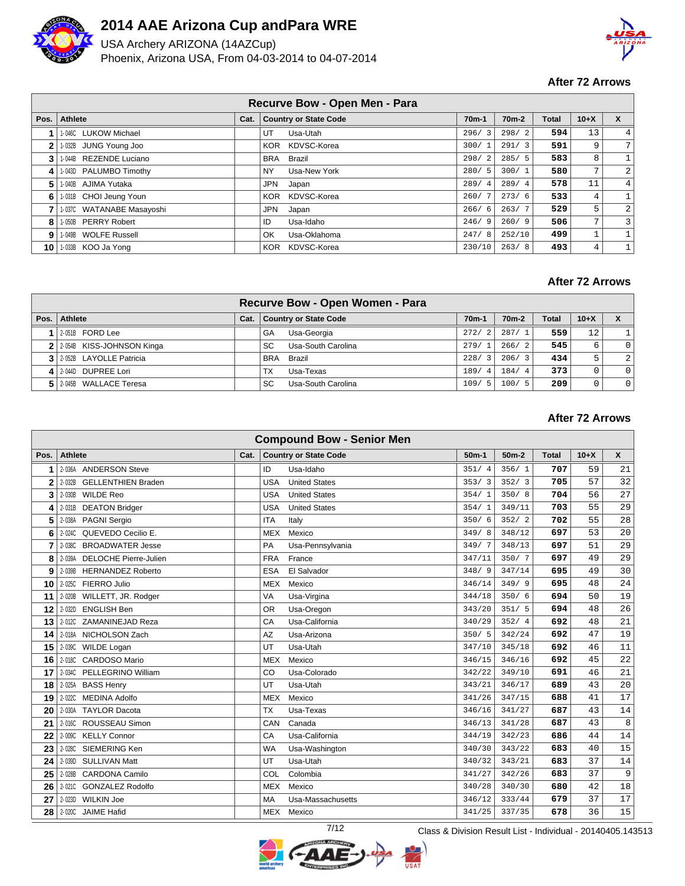

USA Archery ARIZONA (14AZCup) Phoenix, Arizona USA, From 04-03-2014 to 04-07-2014



## **After 72 Arrows**

| Recurve Bow - Open Men - Para |                           |  |                              |           |                    |       |        |                |  |  |  |
|-------------------------------|---------------------------|--|------------------------------|-----------|--------------------|-------|--------|----------------|--|--|--|
| Pos.                          | Athlete                   |  | Cat.   Country or State Code | $70m-1$   | 70 <sub>m</sub> -2 | Total | $10+X$ | X              |  |  |  |
|                               | 1-046C LUKOW Michael      |  | UT<br>Usa-Utah               | 296/<br>3 | 298/2              | 594   | 13     | 4              |  |  |  |
| 2                             | 1-032B JUNG Young Joo     |  | KDVSC-Korea<br><b>KOR</b>    | 300/1     | 291/3              | 591   | 9      | 7 <sub>1</sub> |  |  |  |
| 3                             | 1-044B REZENDE Luciano    |  | Brazil<br>BRA                | 298/2     | 285/5              | 583   | 8      |                |  |  |  |
| 4                             | 1-043D PALUMBO Timothy    |  | Usa-New York<br>NY.          | 280/5     | 300/1              | 580   | 7      | 2              |  |  |  |
| 5                             | 1-040B AJIMA Yutaka       |  | JPN<br>Japan                 | 289/4     | 289/4              | 578   | 11     | 4              |  |  |  |
| 6                             | 1-031B CHOI Jeung Youn    |  | KDVSC-Korea<br>KOR           | 260/7     | 273/6              | 533   | 4      |                |  |  |  |
|                               | 1-037C WATANABE Masayoshi |  | JPN<br>Japan                 | 266/6     | 263/7              | 529   | 5      | $\overline{a}$ |  |  |  |
| 8                             | 1-050B PERRY Robert       |  | Usa-Idaho<br>ID              | 246/9     | 260/9              | 506   | 7      | 3              |  |  |  |
| g                             | 1-049B WOLFE Russell      |  | Usa-Oklahoma<br>OK           | 247/8     | 252/10             | 499   | 1      |                |  |  |  |
| 10                            | 1-033B KOO Ja Yong        |  | KDVSC-Korea<br><b>KOR</b>    | 230/10    | 263/8              | 493   | 4      |                |  |  |  |

#### **After 72 Arrows**

|                             |      |            | Recurve Bow - Open Women - Para |                    |                    |       |        |                |
|-----------------------------|------|------------|---------------------------------|--------------------|--------------------|-------|--------|----------------|
| Pos.   Athlete              | Cat. |            | <b>Country or State Code</b>    | 70 <sub>m</sub> -1 | 70 <sub>m</sub> -2 | Total | $10+X$ |                |
| 12-051B FORD Lee            |      | GA         | Usa-Georgia                     | 272/2              | 287/1              | 559   | 12.    |                |
| 2 2-054B KISS-JOHNSON Kinga |      | SC         | Usa-South Carolina              | 279/1              | 266/2              | 545   | 6      | $\overline{0}$ |
| 3 2.052B LAYOLLE Patricia   |      | <b>BRA</b> | Brazil                          | 228/3              | 206/3              | 434   | 5.     | 2 <sup>1</sup> |
| 4 2-044D DUPREE Lori        |      | TX         | Usa-Texas                       | 189/<br>-4         | 184/4              | 373   |        | $\Omega$       |
| 2-045B WALLACE Teresa       |      | SC         | Usa-South Carolina              | 109/<br>$-5$       | 100/<br>- 5        | 209   |        | $\overline{0}$ |

#### **After 72 Arrows**

| <b>Compound Bow - Senior Men</b> |                                       |      |                                    |         |         |              |        |    |  |  |  |
|----------------------------------|---------------------------------------|------|------------------------------------|---------|---------|--------------|--------|----|--|--|--|
| Pos.                             | <b>Athlete</b>                        | Cat. | <b>Country or State Code</b>       | $50m-1$ | $50m-2$ | <b>Total</b> | $10+X$ | X  |  |  |  |
| 1                                | 2-036A ANDERSON Steve                 |      | Usa-Idaho<br>ID                    | 351/4   | 356/1   | 707          | 59     | 21 |  |  |  |
| $\mathbf{2}$                     | 2-032B<br><b>GELLENTHIEN Braden</b>   |      | <b>USA</b><br><b>United States</b> | 353/3   | 352/3   | 705          | 57     | 32 |  |  |  |
| 3                                | <b>WILDE Reo</b><br>2-030B            |      | <b>United States</b><br><b>USA</b> | 354/1   | 350/8   | 704          | 56     | 27 |  |  |  |
| 4                                | <b>DEATON Bridger</b><br>2-031B       |      | <b>USA</b><br><b>United States</b> | 354/1   | 349/11  | 703          | 55     | 29 |  |  |  |
| 5                                | <b>PAGNI Sergio</b><br>2-038A         |      | <b>ITA</b><br>Italy                | 350/6   | 352/2   | 702          | 55     | 28 |  |  |  |
| 6                                | QUEVEDO Cecilio E.<br>2-024C          |      | <b>MEX</b><br>Mexico               | 349/8   | 348/12  | 697          | 53     | 20 |  |  |  |
| 7                                | <b>BROADWATER Jesse</b><br>2-038C     |      | PA<br>Usa-Pennsylvania             | 349/7   | 348/13  | 697          | 51     | 29 |  |  |  |
| 8                                | DELOCHE Pierre-Julien<br>2-039A       |      | <b>FRA</b><br>France               | 347/11  | 350/7   | 697          | 49     | 29 |  |  |  |
| 9                                | <b>HERNANDEZ Roberto</b><br>2-039B    |      | <b>ESA</b><br>El Salvador          | 348/9   | 347/14  | 695          | 49     | 30 |  |  |  |
| 10                               | 2-025C FIERRO Julio                   |      | Mexico<br><b>MEX</b>               | 346/14  | 349/9   | 695          | 48     | 24 |  |  |  |
| 11                               | WILLETT, JR. Rodger<br>2-020B         |      | VA<br>Usa-Virgina                  | 344/18  | 350/6   | 694          | 50     | 19 |  |  |  |
| 12                               | 2-032D<br><b>ENGLISH Ben</b>          |      | Usa-Oregon<br><b>OR</b>            | 343/20  | 351/5   | 694          | 48     | 26 |  |  |  |
| 13                               | ZAMANINEJAD Reza<br>2-012C            |      | Usa-California<br>CA               | 340/29  | 352/4   | 692          | 48     | 21 |  |  |  |
| 14                               | 2-018A NICHOLSON Zach                 |      | Usa-Arizona<br>AZ                  | 350/5   | 342/24  | 692          | 47     | 19 |  |  |  |
| 15                               | <b>WILDE Logan</b><br>2-039C          |      | Usa-Utah<br>UT                     | 347/10  | 345/18  | 692          | 46     | 11 |  |  |  |
| 16                               | <b>CARDOSO Mario</b><br>2-018C        |      | <b>MEX</b><br>Mexico               | 346/15  | 346/16  | 692          | 45     | 22 |  |  |  |
| 17                               | 2-034C PELLEGRINO William             |      | Usa-Colorado<br>CO                 | 342/22  | 349/10  | 691          | 46     | 21 |  |  |  |
| 18                               | <b>BASS Henry</b><br>2-025A           |      | UT<br>Usa-Utah                     | 343/21  | 346/17  | 689          | 43     | 20 |  |  |  |
| 19                               | <b>MEDINA Adolfo</b><br>$2 - 022C$    |      | Mexico<br><b>MEX</b>               | 341/26  | 347/15  | 688          | 41     | 17 |  |  |  |
| 20                               | <b>TAYLOR Dacota</b><br>$2 - 030A$    |      | <b>TX</b><br>Usa-Texas             | 346/16  | 341/27  | 687          | 43     | 14 |  |  |  |
| 21                               | ROUSSEAU Simon<br>2-016C              |      | CAN<br>Canada                      | 346/13  | 341/28  | 687          | 43     | 8  |  |  |  |
| 22                               | 2-009C<br><b>KELLY Connor</b>         |      | CA<br>Usa-California               | 344/19  | 342/23  | 686          | 44     | 14 |  |  |  |
| 23                               | SIEMERING Ken<br>2-028C               |      | <b>WA</b><br>Usa-Washington        | 340/30  | 343/22  | 683          | 40     | 15 |  |  |  |
| 24                               | <b>SULLIVAN Matt</b><br>2-039D        |      | Usa-Utah<br>UT                     | 340/32  | 343/21  | 683          | 37     | 14 |  |  |  |
| 25                               | CARDONA Camilo<br>2-028B              |      | COL<br>Colombia                    | 341/27  | 342/26  | 683          | 37     | 9  |  |  |  |
| 26                               | <b>GONZALEZ Rodolfo</b><br>$2 - 021C$ |      | Mexico<br><b>MEX</b>               | 340/28  | 340/30  | 680          | 42     | 18 |  |  |  |
| 27                               | <b>WILKIN Joe</b><br>$2 - 023D$       |      | MA<br>Usa-Massachusetts            | 346/12  | 333/44  | 679          | 37     | 17 |  |  |  |
| 28                               | 2-020C<br><b>JAIME Hafid</b>          |      | <b>MEX</b><br>Mexico               | 341/25  | 337/35  | 678          | 36     | 15 |  |  |  |

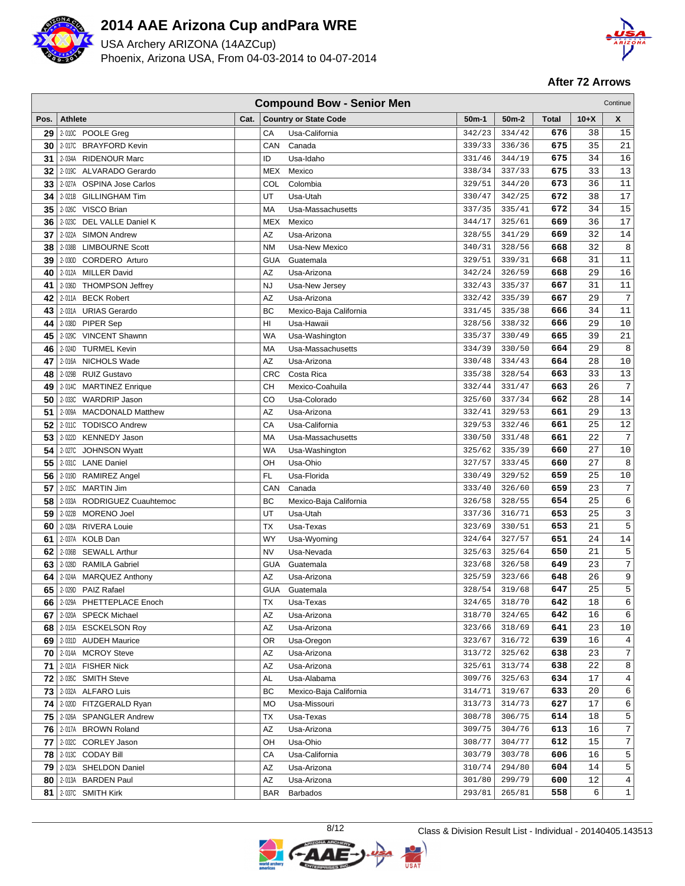

USA Archery ARIZONA (14AZCup) Phoenix, Arizona USA, From 04-03-2014 to 04-07-2014



|          | <b>Compound Bow - Senior Men</b><br>Continue |                                            |      |            |                              |                  |                  |            |          |                  |
|----------|----------------------------------------------|--------------------------------------------|------|------------|------------------------------|------------------|------------------|------------|----------|------------------|
| Pos.     | <b>Athlete</b>                               |                                            | Cat. |            | <b>Country or State Code</b> | 50m-1            | $50m-2$          | Total      | $10+X$   | X                |
| 29       |                                              | 2-010C POOLE Greg                          |      | СA         | Usa-California               | 342/23           | 334/42           | 676        | 38       | 15               |
| 30       |                                              | 2-017C BRAYFORD Kevin                      |      | CAN        | Canada                       | 339/33           | 336/36           | 675        | 35       | 21               |
| 31       | 2-034A                                       | RIDENOUR Marc                              |      | ID         | Usa-Idaho                    | 331/46           | 344/19           | 675        | 34       | 16               |
| 32       |                                              | 2-019C ALVARADO Gerardo                    |      | <b>MEX</b> | Mexico                       | 338/34           | 337/33           | 675        | 33       | 13               |
| 33       |                                              | 2-027A OSPINA Jose Carlos                  |      | <b>COL</b> | Colombia                     | 329/51           | 344/20           | 673        | 36       | 11               |
| 34       | 2-021B                                       | <b>GILLINGHAM Tim</b>                      |      | UT         | Usa-Utah                     | 330/47           | 342/25           | 672        | 38       | 17               |
| 35       | 2-026C                                       | VISCO Brian                                |      | MA         | Usa-Massachusetts            | 337/35           | 335/41           | 672        | 34       | 15               |
| 36       | 2-023C                                       | DEL VALLE Daniel K                         |      | <b>MEX</b> | Mexico                       | 344/17           | 325/61           | 669        | 36       | 17               |
| 37       | 2-022A                                       | <b>SIMON Andrew</b>                        |      | AZ         | Usa-Arizona                  | 328/55           | 341/29           | 669        | 32       | 14               |
| 38       | 2-038B                                       | <b>LIMBOURNE Scott</b>                     |      | <b>NM</b>  | Usa-New Mexico               | 340/31           | 328/56           | 668        | 32       | 8                |
| 39       | 2-030D                                       | <b>CORDERO</b> Arturo                      |      | GUA        | Guatemala                    | 329/51           | 339/31           | 668        | 31       | 11               |
| 40       |                                              | 2-012A MILLER David                        |      | AZ         | Usa-Arizona                  | 342/24           | 326/59           | 668        | 29       | 16               |
| 41       |                                              | 2-036D THOMPSON Jeffrey                    |      | <b>NJ</b>  | Usa-New Jersey               | 332/43           | 335/37           | 667        | 31       | 11               |
| 42       | 2-011A                                       | <b>BECK Robert</b>                         |      | AZ         | Usa-Arizona                  | 332/42           | 335/39           | 667        | 29       | 7                |
| 43       | 2-031A                                       | <b>URIAS Gerardo</b>                       |      | BC         | Mexico-Baja California       | 331/45           | 335/38           | 666        | 34       | 11               |
| 44       | 2-038D                                       | PIPER Sep                                  |      | HI         | Usa-Hawaii                   | 328/56           | 338/32           | 666        | 29       | 10               |
| 45       | 2-029C                                       | <b>VINCENT Shawnn</b>                      |      | WA         | Usa-Washington               | 335/37           | 330/49           | 665        | 39       | 21               |
| 46       | 2-024D                                       | <b>TURMEL Kevin</b>                        |      | MA         | Usa-Massachusetts            | 334/39           | 330/50           | 664        | 29       | 8                |
| 47       | 2-016A                                       | NICHOLS Wade                               |      | AZ         | Usa-Arizona                  | 330/48           | 334/43           | 664        | 28       | 10               |
| 48       | 2-029B                                       | <b>RUIZ Gustavo</b>                        |      | CRC        | Costa Rica                   | 335/38           | 328/54           | 663        | 33       | 13               |
| 49       |                                              | 2-014C MARTINEZ Enrique                    |      | CН         | Mexico-Coahuila              | 332/44           | 331/47           | 663        | 26       | $\overline{7}$   |
| 50       |                                              | 2-033C WARDRIP Jason                       |      | CO         | Usa-Colorado                 | 325/60           | 337/34           | 662        | 28       | 14               |
| 51       | 2-009A                                       | <b>MACDONALD Matthew</b>                   |      | ΑZ         | Usa-Arizona                  | 332/41           | 329/53           | 661        | 29<br>25 | 13<br>12         |
| 52<br>53 | 2-011C                                       | <b>TODISCO Andrew</b>                      |      | CA         | Usa-California               | 329/53<br>330/50 | 332/46           | 661<br>661 | 22       | $\overline{7}$   |
|          | 2-022D                                       | <b>KENNEDY Jason</b>                       |      | MA<br>WA   | Usa-Massachusetts            | 325/62           | 331/48<br>335/39 | 660        | 27       |                  |
| 54<br>55 | 2-027C                                       | <b>JOHNSON Wyatt</b><br>2-031C LANE Daniel |      |            | Usa-Washington               | 327/57           | 333/45           | 660        | 27       | 10<br>8          |
| 56       | 2-019D                                       | RAMIREZ Angel                              |      | ОН<br>FL   | Usa-Ohio<br>Usa-Florida      | 330/49           | 329/52           | 659        | 25       | 10               |
| 57       | 2-015C                                       | MARTIN Jim                                 |      | CAN        | Canada                       | 333/40           | 326/60           | 659        | 23       | $\overline{7}$   |
| 58       | 2-033A                                       | RODRIGUEZ Cuauhtemoc                       |      | BC         | Mexico-Baja California       | 326/58           | 328/55           | 654        | 25       | 6                |
| 59       |                                              | 2-022B MORENO Joel                         |      | UT         | Usa-Utah                     | 337/36           | 316/71           | 653        | 25       | $\mathsf{3}$     |
| 60       | 2-028A                                       | <b>RIVERA Louie</b>                        |      | <b>TX</b>  | Usa-Texas                    | 323/69           | 330/51           | 653        | 21       | 5                |
| 61       | 2-037A                                       | <b>KOLB Dan</b>                            |      | WY         | Usa-Wyoming                  | 324/64           | 327/57           | 651        | 24       | $1\,4$           |
| 62       | 2-036B                                       | <b>SEWALL Arthur</b>                       |      | <b>NV</b>  | Usa-Nevada                   | 325/63           | 325/64           | 650        | 21       | 5                |
| 63       | 2-028D                                       | <b>RAMILA Gabriel</b>                      |      | GUA        | Guatemala                    | 323/68           | 326/58           | 649        | 23       | 7                |
| 64       | 2-024A                                       | <b>MARQUEZ Anthony</b>                     |      | AZ         | Usa-Arizona                  | 325/59           | 323/66           | 648        | 26       | 9                |
| 65       |                                              | 2-029D PAIZ Rafael                         |      | GUA        | Guatemala                    | 328/54           | 319/68           | 647        | 25       | 5                |
|          |                                              | 66   2-029A PHETTEPLACE Enoch              |      | ТX         | Usa-Texas                    | 324/65           | 318/70           | 642        | 18       | 6                |
| 67       |                                              | 2-020A SPECK Michael                       |      | ΑZ         | Usa-Arizona                  | 318/70           | 324/65           | 642        | 16       | 6                |
|          |                                              | 68 2-015A ESCKELSON Roy                    |      | ΑZ         | Usa-Arizona                  | 323/66           | 318/69           | 641        | 23       | $10$             |
|          |                                              | 69 2-031D AUDEH Maurice                    |      | 0R         | Usa-Oregon                   | 323/67           | 316/72           | 639        | 16       | 4                |
|          |                                              | 70 2-014A MCROY Steve                      |      | ΑZ         | Usa-Arizona                  | 313/72           | 325/62           | 638        | 23       | $\sqrt{ }$       |
| 71       |                                              | 2-021A FISHER Nick                         |      | AZ         | Usa-Arizona                  | 325/61           | 313/74           | 638        | 22       | 8                |
| 72       |                                              | 2-035C SMITH Steve                         |      | AL         | Usa-Alabama                  | 309/76           | 325/63           | 634        | 17       | 4                |
| 73       |                                              | 2-032A ALFARO Luis                         |      | ВC         | Mexico-Baja California       | 314/71           | 319/67           | 633        | 20       | 6                |
| 74       |                                              | 2-020D FITZGERALD Ryan                     |      | <b>MO</b>  | Usa-Missouri                 | 313/73           | 314/73           | 627        | 17       | 6                |
|          |                                              | 75 2-026A SPANGLER Andrew                  |      | ТX         | Usa-Texas                    | 308/78           | 306/75           | 614        | 18       | 5                |
| 76       |                                              | 2-017A BROWN Roland                        |      | AZ         | Usa-Arizona                  | 309/75           | 304/76           | 613        | 16       | $\boldsymbol{7}$ |
|          |                                              | 77 2-032C CORLEY Jason                     |      | OH         | Usa-Ohio                     | 308/77           | 304/77           | 612        | 15       | $\boldsymbol{7}$ |
|          |                                              | 78 2-013C CODAY Bill                       |      | СA         | Usa-California               | 303/79           | 303/78           | 606        | 16       | 5                |
|          |                                              | 79 2-023A SHELDON Daniel                   |      | ΑZ         | Usa-Arizona                  | 310/74           | 294/80           | 604        | 14       | 5                |
| 80       |                                              | 2-013A BARDEN Paul                         |      | AZ         | Usa-Arizona                  | 301/80           | 299/79           | 600        | 12       | $\overline{4}$   |
|          |                                              | 81 2-037C SMITH Kirk                       |      | <b>BAR</b> | Barbados                     | 293/81           | 265/81           | 558        | 6        | $\mathbf{1}$     |

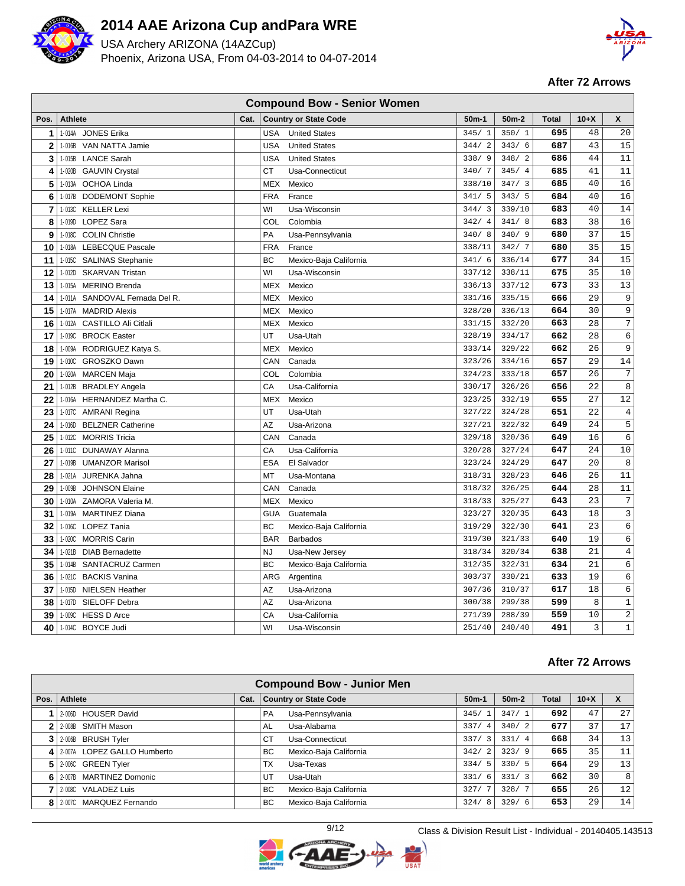

USA Archery ARIZONA (14AZCup) Phoenix, Arizona USA, From 04-03-2014 to 04-07-2014



**After 72 Arrows**

| <b>Compound Bow - Senior Women</b> |                                       |      |            |                              |         |                        |              |        |                  |  |  |
|------------------------------------|---------------------------------------|------|------------|------------------------------|---------|------------------------|--------------|--------|------------------|--|--|
| Pos.                               | <b>Athlete</b>                        | Cat. |            | <b>Country or State Code</b> | $50m-1$ | $50m-2$                | <b>Total</b> | $10+X$ | X                |  |  |
| 1                                  | 1-014A JONES Erika                    |      | <b>USA</b> | <b>United States</b>         | 345/1   | 350/1                  | 695          | 48     | 20               |  |  |
| $\mathbf{2}$                       | 1-016B<br>VAN NATTA Jamie             |      | <b>USA</b> | <b>United States</b>         | 344/2   | 343/6                  | 687          | 43     | 15               |  |  |
| 3                                  | 1-015B LANCE Sarah                    |      | <b>USA</b> | <b>United States</b>         | 338/9   | 348/2                  | 686          | 44     | 11               |  |  |
| 4                                  | 1-020B GAUVIN Crystal                 |      | <b>CT</b>  | Usa-Connecticut              | 340/7   | 345/4                  | 685          | 41     | 11               |  |  |
| 5                                  | 1-013A<br><b>OCHOA Linda</b>          |      | MEX        | Mexico                       | 338/10  | 347/<br>$\overline{3}$ | 685          | 40     | 16               |  |  |
| 6                                  | 1-017B<br><b>DODEMONT Sophie</b>      |      | <b>FRA</b> | France                       | 341/5   | 343/5                  | 684          | 40     | 16               |  |  |
| 7                                  | <b>KELLER Lexi</b><br>1-013C          |      | WI         | Usa-Wisconsin                | 344/3   | 339/10                 | 683          | 40     | 14               |  |  |
| 8                                  | LOPEZ Sara<br>1-019D                  |      | COL        | Colombia                     | 342/4   | 341/8                  | 683          | 38     | 16               |  |  |
| 9                                  | 1-018C COLIN Christie                 |      | PA         | Usa-Pennsylvania             | 340/8   | 340/9                  | 680          | 37     | 15               |  |  |
| 10                                 | 1-018A LEBECQUE Pascale               |      | <b>FRA</b> | France                       | 338/11  | 342/7                  | 680          | 35     | 15               |  |  |
| 11                                 | 1-015C SALINAS Stephanie              |      | <b>BC</b>  | Mexico-Baja California       | 341/6   | 336/14                 | 677          | 34     | 15               |  |  |
| 12                                 | 1-012D<br><b>SKARVAN Tristan</b>      |      | WI         | Usa-Wisconsin                | 337/12  | 338/11                 | 675          | 35     | 10               |  |  |
| 13                                 | 1-015A MERINO Brenda                  |      | MEX        | Mexico                       | 336/13  | 337/12                 | 673          | 33     | 13               |  |  |
| 14                                 | 1-011A SANDOVAL Fernada Del R.        |      | <b>MEX</b> | Mexico                       | 331/16  | 335/15                 | 666          | 29     | 9                |  |  |
| 15                                 | 1-017A<br><b>MADRID Alexis</b>        |      | <b>MEX</b> | Mexico                       | 328/20  | 336/13                 | 664          | 30     | 9                |  |  |
| 16                                 | 1-012A<br><b>CASTILLO Ali Citlali</b> |      | MEX        | Mexico                       | 331/15  | 332/20                 | 663          | 28     | $\boldsymbol{7}$ |  |  |
| 17                                 | 1-019C BROCK Easter                   |      | UT         | Usa-Utah                     | 328/19  | 334/17                 | 662          | 28     | $\epsilon$       |  |  |
| 18                                 | 1-009A<br>RODRIGUEZ Katya S.          |      | <b>MEX</b> | Mexico                       | 333/14  | 329/22                 | 662          | 26     | 9                |  |  |
| 19                                 | 1-010C GROSZKO Dawn                   |      | CAN        | Canada                       | 323/26  | 334/16                 | 657          | 29     | 14               |  |  |
| 20                                 | 1-020A<br><b>MARCEN Maja</b>          |      | COL        | Colombia                     | 324/23  | 333/18                 | 657          | 26     | 7                |  |  |
| 21                                 | 1-012B BRADLEY Angela                 |      | CA         | Usa-California               | 330/17  | 326/26                 | 656          | 22     | 8                |  |  |
| 22                                 | 1-016A HERNANDEZ Martha C.            |      | MEX        | Mexico                       | 323/25  | 332/19                 | 655          | 27     | 12               |  |  |
| 23                                 | 1-017C AMRANI Regina                  |      | UT         | Usa-Utah                     | 327/22  | 324/28                 | 651          | 22     | 4                |  |  |
| 24                                 | 1-016D<br><b>BELZNER Catherine</b>    |      | AZ         | Usa-Arizona                  | 327/21  | 322/32                 | 649          | 24     | 5                |  |  |
| 25                                 | 1-012C MORRIS Tricia                  |      | CAN        | Canada                       | 329/18  | 320/36                 | 649          | 16     | 6                |  |  |
| 26                                 | 1-011C DUNAWAY Alanna                 |      | CA         | Usa-California               | 320/28  | 327/24                 | 647          | 24     | $10$             |  |  |
| 27                                 | 1-019B<br><b>UMANZOR Marisol</b>      |      | <b>ESA</b> | El Salvador                  | 323/24  | 324/29                 | 647          | 20     | 8                |  |  |
| 28                                 | 1-021A<br>JURENKA Jahna               |      | MT         | Usa-Montana                  | 318/31  | 328/23                 | 646          | 26     | 11               |  |  |
| 29                                 | 1-009B<br><b>JOHNSON Elaine</b>       |      | CAN        | Canada                       | 318/32  | 326/25                 | 644          | 28     | 11               |  |  |
| 30                                 | 1-010A<br>ZAMORA Valeria M.           |      | <b>MEX</b> | Mexico                       | 318/33  | 325/27                 | 643          | 23     | $\overline{7}$   |  |  |
| 31                                 | 1-019A<br><b>MARTINEZ Diana</b>       |      | <b>GUA</b> | Guatemala                    | 323/27  | 320/35                 | 643          | 18     | 3                |  |  |
| 32                                 | 1-016C LOPEZ Tania                    |      | <b>BC</b>  | Mexico-Baja California       | 319/29  | 322/30                 | 641          | 23     | 6                |  |  |
| 33                                 | 1-020C<br><b>MORRIS Carin</b>         |      | <b>BAR</b> | <b>Barbados</b>              | 319/30  | 321/33                 | 640          | 19     | 6                |  |  |
| 34                                 | 1-021B<br><b>DIAB Bernadette</b>      |      | <b>NJ</b>  | Usa-New Jersey               | 318/34  | 320/34                 | 638          | 21     | 4                |  |  |
| 35                                 | 1-014B SANTACRUZ Carmen               |      | <b>BC</b>  | Mexico-Baja California       | 312/35  | 322/31                 | 634          | 21     | 6                |  |  |
| 36                                 | 1-0210 BACKIS Vanina                  |      | ARG        | Argentina                    | 303/37  | 330/21                 | 633          | 19     | 6                |  |  |
| 37                                 | 1-015D<br><b>NIELSEN Heather</b>      |      | <b>AZ</b>  | Usa-Arizona                  | 307/36  | 310/37                 | 617          | 18     | 6                |  |  |
| 38                                 | 1-017D SIELOFF Debra                  |      | <b>AZ</b>  | Usa-Arizona                  | 300/38  | 299/38                 | 599          | 8      | $1\,$            |  |  |
| 39                                 | 1-009C HESS D Arce                    |      | CA         | Usa-California               | 271/39  | 288/39                 | 559          | 10     | $\sqrt{2}$       |  |  |
| 40                                 | 1-014C BOYCE Judi                     |      | WI         | Usa-Wisconsin                | 251/40  | 240/40                 | 491          | 3      | $\mathbf 1$      |  |  |

| <b>Compound Bow - Junior Men</b> |                               |      |                               |                                 |                        |       |        |                   |  |  |  |
|----------------------------------|-------------------------------|------|-------------------------------|---------------------------------|------------------------|-------|--------|-------------------|--|--|--|
| Pos.                             | Athlete                       | Cat. | <b>Country or State Code</b>  | $50m-1$                         | $50m-2$                | Total | $10+X$ | X                 |  |  |  |
|                                  | <b>HOUSER David</b><br>2-006D |      | Usa-Pennsylvania<br><b>PA</b> | 345/                            | 347/1                  | 692   | 47     | 27                |  |  |  |
|                                  | 12-008B SMITH Mason           |      | Usa-Alabama<br>AL             | 337/4                           | 340/2                  | 677   | 37     | 17                |  |  |  |
|                                  | 2-006B BRUSH Tyler            |      | Usa-Connecticut<br>СT         | 337/<br>$\overline{\mathbf{3}}$ | 331/<br>$\overline{4}$ | 668   | 34     | 13                |  |  |  |
| 4                                | 2-007A LOPEZ GALLO Humberto   |      | Mexico-Baja California<br>BC. | 342/2                           | 323/9                  | 665   | 35     | 11                |  |  |  |
| 5                                | 2-006C GREEN Tyler            |      | ТX<br>Usa-Texas               | 334/<br>-5                      | 330/5                  | 664   | 29     | 13                |  |  |  |
| 6                                | 2-007B MARTINEZ Domonic       |      | UT<br>Usa-Utah                | 331/<br>6                       | 331/3                  | 662   | 30     | 8                 |  |  |  |
|                                  | 2-008C VALADEZ Luis           |      | BC.<br>Mexico-Baja California | 327/                            | 328/7                  | 655   | 26     | $12 \overline{ }$ |  |  |  |
|                                  | 8 2-007C MARQUEZ Fernando     |      | Mexico-Baja California<br>BC. | 324/<br>8                       | 329/6                  | 653   | 29     | 14                |  |  |  |

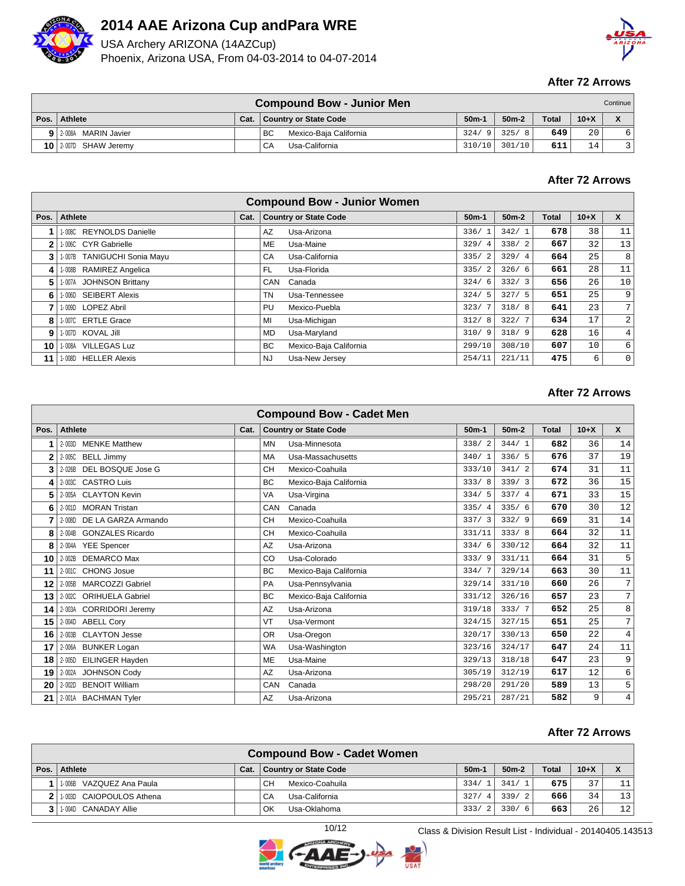

USA Archery ARIZONA (14AZCup) Phoenix, Arizona USA, From 04-03-2014 to 04-07-2014



### **After 72 Arrows**

|      |                         |      | <b>Compound Bow - Junior Men</b> |                 |            |              |        | Continue     |
|------|-------------------------|------|----------------------------------|-----------------|------------|--------------|--------|--------------|
| Pos. | Athlete                 | Cat. | <b>Country or State Code</b>     | 50 <sub>m</sub> | $50m-2$    | <b>Total</b> | $10+X$ | $\mathbf{v}$ |
| 9    | 12-008A MARIN Javier    |      | BC<br>Mexico-Baja California     | 324/9           | 325/<br>-8 | 649          | 20     |              |
|      | $10$ 2-007D SHAW Jeremy |      | Usa-California<br>CA             | 310/10          | 301/10     | 611          | 14     |              |

### **After 72 Arrows**

|      |                             |      |           | <b>Compound Bow - Junior Women</b> |         |         |              |        |                |
|------|-----------------------------|------|-----------|------------------------------------|---------|---------|--------------|--------|----------------|
| Pos. | Athlete                     | Cat. |           | <b>Country or State Code</b>       | $50m-1$ | $50m-2$ | <b>Total</b> | $10+X$ | X              |
|      | 1-008C REYNOLDS Danielle    |      | AZ        | Usa-Arizona                        | 336/1   | 342/1   | 678          | 38     | 11             |
| 2    | 1-006C CYR Gabrielle        |      | ME        | Usa-Maine                          | 329/4   | 338/2   | 667          | 32     | 13             |
| 3    | 1-007B TANIGUCHI Sonia Mayu |      | CA        | Usa-California                     | 335/2   | 329/4   | 664          | 25     | 8              |
| 4    | 1-008B RAMIREZ Angelica     |      | FL.       | Usa-Florida                        | 335/2   | 326/6   | 661          | 28     | 11             |
| 5.   | 1-007A JOHNSON Brittany     |      | CAN       | Canada                             | 324/6   | 332/3   | 656          | 26     | 10             |
| 6    | 1-006D SEIBERT Alexis       |      | TN.       | Usa-Tennessee                      | 324/5   | 327/5   | 651          | 25     | 9              |
|      | 1-009D LOPEZ Abril          |      | PU        | Mexico-Puebla                      | 323/7   | 318/8   | 641          | 23     | 7 <sub>1</sub> |
| 8    | 1-007C ERTLE Grace          |      | MI        | Usa-Michigan                       | 312/8   | 322/7   | 634          | 17     | 2              |
| 9    | 1-007D KOVAL Jill           |      | <b>MD</b> | Usa-Maryland                       | 310/9   | 318/9   | 628          | 16     | $\overline{4}$ |
| 10   | 1-008A VILLEGAS Luz         |      | <b>BC</b> | Mexico-Baja California             | 299/10  | 308/10  | 607          | 10     | 6              |
| 11   | 1-008D HELLER Alexis        |      | NJ.       | Usa-New Jersey                     | 254/11  | 221/11  | 475          | 6      | $\mathbf 0$    |

#### **After 72 Arrows**

|      |                                    |      |           | <b>Compound Bow - Cadet Men</b> |         |         |              |        |                |
|------|------------------------------------|------|-----------|---------------------------------|---------|---------|--------------|--------|----------------|
| Pos. | <b>Athlete</b>                     | Cat. |           | <b>Country or State Code</b>    | $50m-1$ | $50m-2$ | <b>Total</b> | $10+X$ | $\mathsf{x}$   |
|      | <b>MENKE Matthew</b><br>$2 - 003D$ |      | <b>MN</b> | Usa-Minnesota                   | 338/2   | 344/1   | 682          | 36     | 14             |
| 2    | <b>BELL Jimmy</b><br>2-005C        |      | MA        | Usa-Massachusetts               | 340/1   | 336/5   | 676          | 37     | 19             |
| 3    | DEL BOSQUE Jose G<br>2-026B        |      | <b>CH</b> | Mexico-Coahuila                 | 333/10  | 341/2   | 674          | 31     | 11             |
| 4    | <b>CASTRO Luis</b><br>$2 - 003C$   |      | BC        | Mexico-Baja California          | 333/8   | 339/3   | 672          | 36     | 15             |
| 5    | 2-005A CLAYTON Kevin               |      | <b>VA</b> | Usa-Virgina                     | 334/5   | 337/4   | 671          | 33     | 15             |
| 6    | <b>MORAN Tristan</b><br>2-001D     |      | CAN       | Canada                          | 335/4   | 335/6   | 670          | 30     | 12             |
|      | 2-008D DE LA GARZA Armando         |      | <b>CH</b> | Mexico-Coahuila                 | 337/3   | 332/9   | 669          | 31     | 14             |
| 8    | <b>GONZALES Ricardo</b><br>2-004B  |      | <b>CH</b> | Mexico-Coahuila                 | 331/11  | 333/8   | 664          | 32     | 11             |
| 8    | 2-004A YEE Spencer                 |      | AZ        | Usa-Arizona                     | 334/6   | 330/12  | 664          | 32     | 11             |
| 10   | <b>DEMARCO Max</b><br>2-002B       |      | CO        | Usa-Colorado                    | 333/9   | 331/11  | 664          | 31     | 5              |
| 11   | 2-001C CHONG Josue                 |      | BC        | Mexico-Baja California          | 334/7   | 329/14  | 663          | 30     | 11             |
| 12   | 2-005B MARCOZZI Gabriel            |      | <b>PA</b> | Usa-Pennsylvania                | 329/14  | 331/10  | 660          | 26     | 7              |
| 13   | <b>ORIHUELA Gabriel</b><br>2-002C  |      | BC        | Mexico-Baja California          | 331/12  | 326/16  | 657          | 23     | $\overline{7}$ |
| 14   | 2-003A CORRIDORI Jeremy            |      | AZ        | Usa-Arizona                     | 319/18  | 333/7   | 652          | 25     | 8              |
| 15   | <b>ABELL Cory</b><br>2-004D        |      | VT        | Usa-Vermont                     | 324/15  | 327/15  | 651          | 25     | 7              |
| 16   | <b>CLAYTON Jesse</b><br>2-003B     |      | <b>OR</b> | Usa-Oregon                      | 320/17  | 330/13  | 650          | 22     | $\overline{4}$ |
| 17   | 2-006A BUNKER Logan                |      | <b>WA</b> | Usa-Washington                  | 323/16  | 324/17  | 647          | 24     | 11             |
| 18   | EILINGER Hayden<br>$2 - 005D$      |      | <b>ME</b> | Usa-Maine                       | 329/13  | 318/18  | 647          | 23     | 9              |
| 19   | 2-002A JOHNSON Cody                |      | AZ        | Usa-Arizona                     | 305/19  | 312/19  | 617          | 12     | $\epsilon$     |
| 20   | <b>BENOIT William</b><br>2-002D    |      | CAN       | Canada                          | 298/20  | 291/20  | 589          | 13     | 5              |
| 21   | 2-001A BACHMAN Tyler               |      | AZ        | Usa-Arizona                     | 295/21  | 287/21  | 582          | 9      | 4              |

## **After 72 Arrows**

|                                 |      | <b>Compound Bow - Cadet Women</b> |           |                        |              |          |    |
|---------------------------------|------|-----------------------------------|-----------|------------------------|--------------|----------|----|
| Pos.   Athlete                  | Cat. | <b>Country or State Code</b>      | $50m-1$   | $50m-2$                | <b>Total</b> | $10 + X$ | X  |
| VAZQUEZ Ana Paula<br>$1 - 006B$ |      | CН<br>Mexico-Coahuila             | 334/      | 341/                   | 675          | 37       |    |
| 1-003D CAIOPOULOS Athena        |      | СA<br>Usa-California              | 327/<br>4 | 339/<br>$\overline{2}$ | 666          | 34       | 13 |
| 1-004D CANADAY Allie            |      | ОK<br>Usa-Oklahoma                | 333/      | 330/<br>- 6            | 663          | 26       | 12 |

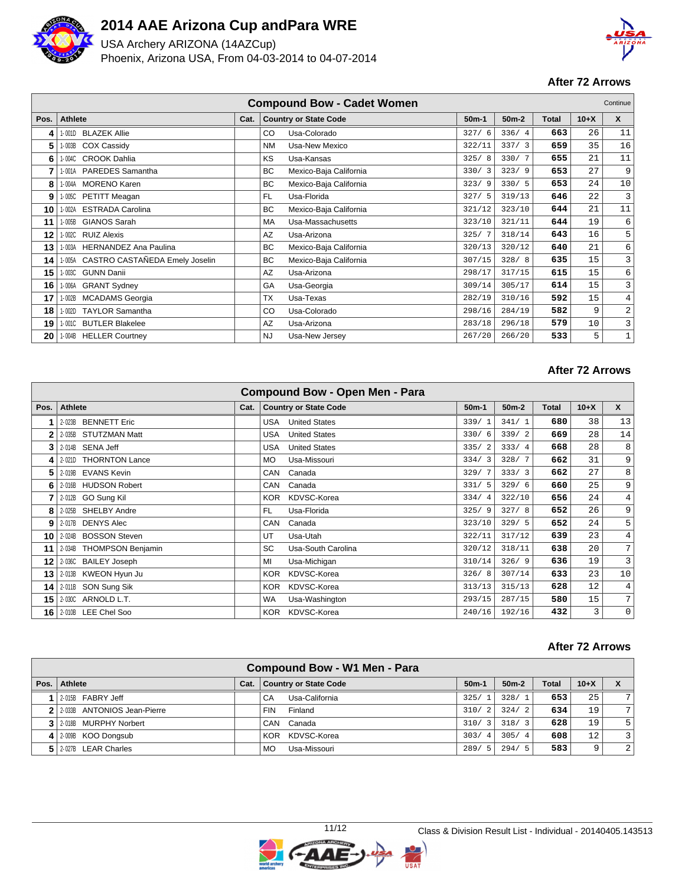

USA Archery ARIZONA (14AZCup) Phoenix, Arizona USA, From 04-03-2014 to 04-07-2014



### **After 72 Arrows**

|      |                                          |      | <b>Compound Bow - Cadet Women</b>   |         |         |       |        | Continue    |
|------|------------------------------------------|------|-------------------------------------|---------|---------|-------|--------|-------------|
| Pos. | Athlete                                  | Cat. | <b>Country or State Code</b>        | $50m-1$ | $50m-2$ | Total | $10+X$ | X           |
| 4    | <b>BLAZEK Allie</b><br>1-001D            |      | Usa-Colorado<br>CO                  | 327/6   | 336/4   | 663   | 26     | 11          |
| 5    | COX Cassidy<br>- 003B                    |      | Usa-New Mexico<br><b>NM</b>         | 322/11  | 337/3   | 659   | 35     | 16          |
| 6    | 1-004C CROOK Dahlia                      |      | KS<br>Usa-Kansas                    | 325/8   | 330/7   | 655   | 21     | 11          |
| 7    | PAREDES Samantha<br>I-001A               |      | <b>BC</b><br>Mexico-Baja California | 330/3   | 323/9   | 653   | 27     | 9           |
| 8    | <b>MORENO Karen</b><br>I - 004A          |      | BC<br>Mexico-Baja California        | 323/9   | 330/5   | 653   | 24     | 10          |
| 9    | PETITT Meagan<br>1-005C                  |      | FL.<br>Usa-Florida                  | 327/5   | 319/13  | 646   | 22     | 3           |
| 10   | <b>ESTRADA Carolina</b><br>$-002A$       |      | <b>BC</b><br>Mexico-Baja California | 321/12  | 323/10  | 644   | 21     | 11          |
| 11   | <b>GIANOS Sarah</b><br>I - 005B          |      | MA<br>Usa-Massachusetts             | 323/10  | 321/11  | 644   | 19     | 6           |
| 12   | <b>RUIZ Alexis</b><br>$-002C$            |      | AZ<br>Usa-Arizona                   | 325/7   | 318/14  | 643   | 16     | 5           |
| 13   | <b>HERNANDEZ Ana Paulina</b><br>$-003A$  |      | <b>BC</b><br>Mexico-Baja California | 320/13  | 320/12  | 640   | 21     | 6           |
| 14   | CASTRO CASTAÑEDA Emely Joselin<br>1-005A |      | <b>BC</b><br>Mexico-Baja California | 307/15  | 328/8   | 635   | 15     | 3           |
| 15   | $-003C$<br><b>GUNN Danii</b>             |      | AZ<br>Usa-Arizona                   | 298/17  | 317/15  | 615   | 15     | 6           |
| 16   | <b>GRANT Sydney</b><br>I - 006A          |      | GA<br>Usa-Georgia                   | 309/14  | 305/17  | 614   | 15     | 3           |
| 17   | <b>MCADAMS</b> Georgia<br>I - 002B       |      | <b>TX</b><br>Usa-Texas              | 282/19  | 310/16  | 592   | 15     | 4           |
| 18   | $-002D$<br><b>TAYLOR Samantha</b>        |      | CO<br>Usa-Colorado                  | 298/16  | 284/19  | 582   | 9      | 2           |
| 19   | 1-001C BUTLER Blakelee                   |      | AZ<br>Usa-Arizona                   | 283/18  | 296/18  | 579   | 10     | 3           |
| 20   | 1-004B HELLER Courtney                   |      | <b>NJ</b><br>Usa-New Jersey         | 267/20  | 266/20  | 533   | 5      | $\mathbf 1$ |

#### **After 72 Arrows**

|      |                                 |      | <b>Compound Bow - Open Men - Para</b> |         |         |       |        |                |
|------|---------------------------------|------|---------------------------------------|---------|---------|-------|--------|----------------|
| Pos. | <b>Athlete</b>                  | Cat. | <b>Country or State Code</b>          | $50m-1$ | $50m-2$ | Total | $10+X$ | $\mathsf{x}$   |
|      | <b>BENNETT Eric</b><br>2-023B   |      | <b>United States</b><br>USA           | 339/1   | 341/1   | 680   | 38     | 13             |
| 2    | 2-035B<br><b>STUTZMAN Matt</b>  |      | <b>United States</b><br>USA           | 330/6   | 339/2   | 669   | 28     | 14             |
| 3    | SENA Jeff<br>2-014B             |      | <b>United States</b><br>USA           | 335/2   | 333/4   | 668   | 28     | 8              |
| 4    | 2-021D<br><b>THORNTON Lance</b> |      | <b>MO</b><br>Usa-Missouri             | 334/3   | 328/7   | 662   | 31     | 9              |
| 5    | 2-019B<br><b>EVANS Kevin</b>    |      | Canada<br>CAN                         | 329/7   | 333/3   | 662   | 27     | 8              |
| 6    | <b>HUDSON Robert</b><br>2-016B  |      | Canada<br>CAN                         | 331/5   | 329/6   | 660   | 25     | 9              |
|      | 2-012B GO Sung Kil              |      | <b>KOR</b><br>KDVSC-Korea             | 334/4   | 322/10  | 656   | 24     | 4              |
| 8    | SHELBY Andre<br>2-025B          |      | FL.<br>Usa-Florida                    | 325/9   | 327/8   | 652   | 26     | 9              |
| 9    | 2-017B<br><b>DENYS Alec</b>     |      | Canada<br>CAN                         | 323/10  | 329/5   | 652   | 24     | 5              |
| 10   | <b>BOSSON Steven</b><br>2-024B  |      | UT<br>Usa-Utah                        | 322/11  | 317/12  | 639   | 23     | 4              |
| 11   | 2-034B THOMPSON Benjamin        |      | <b>SC</b><br>Usa-South Carolina       | 320/12  | 318/11  | 638   | 20     | 7 <sub>1</sub> |
| 12   | 2-036C BAILEY Joseph            |      | MI<br>Usa-Michigan                    | 310/14  | 326/9   | 636   | 19     | 3              |
| 13   | 2-013B KWEON Hyun Ju            |      | <b>KOR</b><br>KDVSC-Korea             | 326/8   | 307/14  | 633   | 23     | 10             |
| 14   | 2-011B SON Sung Sik             |      | <b>KOR</b><br>KDVSC-Korea             | 313/13  | 315/13  | 628   | 12     | $\overline{4}$ |
| 15   | 2-030C ARNOLD L.T.              |      | <b>WA</b><br>Usa-Washington           | 293/15  | 287/15  | 580   | 15     | 7 <sub>1</sub> |
| 16   | 2-010B LEE Chel Soo             |      | KDVSC-Korea<br><b>KOR</b>             | 240/16  | 192/16  | 432   | 3      | $\mathbf 0$    |

|                                 |      | Compound Bow - W1 Men - Para |                |         |              |        |                |
|---------------------------------|------|------------------------------|----------------|---------|--------------|--------|----------------|
| Pos.   Athlete                  | Cat. | <b>Country or State Code</b> | $50m-1$        | $50m-2$ | <b>Total</b> | $10+X$ |                |
| 2-015B FABRY Jeff               |      | Usa-California<br>CA         | 325/1          | 328/1   | 653          | 25     |                |
| 2 2 2 033B ANTONIOS Jean-Pierre |      | <b>FIN</b><br>Finland        | 310/2          | 324/2   | 634          | 19     | 7 <sub>1</sub> |
| 3 2-018B MURPHY Norbert         |      | CAN<br>Canada                | 310/3          | 318/3   | 628          | 19     | 5 <sub>1</sub> |
| $4$   2-009B KOO Dongsub        |      | KDVSC-Korea<br><b>KOR</b>    | 303/4          | 305/4   | 608          | 12     | 3              |
| 5 2.027B LEAR Charles           |      | Usa-Missouri<br><b>MO</b>    | 289/<br>$-5$ ' | 294/5   | 583          | 9      | 2              |